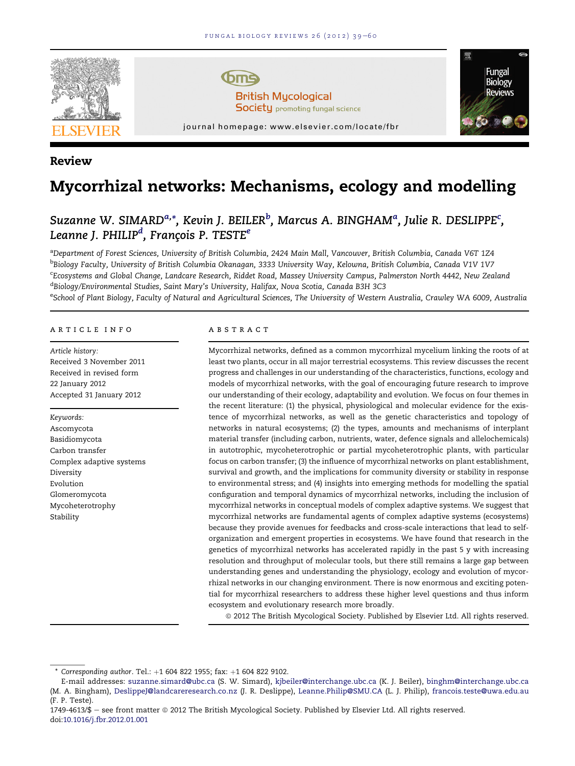

# Review

# Mycorrhizal networks: Mechanisms, ecology and modelling

Suzanne W. SIMARD $^{a,\ast}$ , Kevin J. BEILER $^b$ , Marcus A. BINGHAM $^a$ , Julie R. DESLIPPE $^c$ , Leanne J. PHILIP $^d$ , François P. TESTE $^e$ 

<sup>a</sup>Department of Forest Sciences, University of British Columbia, 2424 Main Mall, Vancouver, British Columbia, Canada V6T 1Z4 <sup>b</sup>Biology Faculty, University of British Columbia Okanagan, 3333 University Way, Kelowna, British Columbia, Canada V1V 1V7 c Ecosystems and Global Change, Landcare Research, Riddet Road, Massey University Campus, Palmerston North 4442, New Zealand <sup>d</sup>Biology/Environmental Studies, Saint Mary's University, Halifax, Nova Scotia, Canada B3H 3C3

e School of Plant Biology, Faculty of Natural and Agricultural Sciences, The University of Western Australia, Crawley WA 6009, Australia

### article info

Article history: Received 3 November 2011 Received in revised form 22 January 2012 Accepted 31 January 2012

Keywords: Ascomycota Basidiomycota Carbon transfer Complex adaptive systems Diversity Evolution Glomeromycota Mycoheterotrophy Stability

### abstract

Mycorrhizal networks, defined as a common mycorrhizal mycelium linking the roots of at least two plants, occur in all major terrestrial ecosystems. This review discusses the recent progress and challenges in our understanding of the characteristics, functions, ecology and models of mycorrhizal networks, with the goal of encouraging future research to improve our understanding of their ecology, adaptability and evolution. We focus on four themes in the recent literature: (1) the physical, physiological and molecular evidence for the existence of mycorrhizal networks, as well as the genetic characteristics and topology of networks in natural ecosystems; (2) the types, amounts and mechanisms of interplant material transfer (including carbon, nutrients, water, defence signals and allelochemicals) in autotrophic, mycoheterotrophic or partial mycoheterotrophic plants, with particular focus on carbon transfer; (3) the influence of mycorrhizal networks on plant establishment, survival and growth, and the implications for community diversity or stability in response to environmental stress; and (4) insights into emerging methods for modelling the spatial configuration and temporal dynamics of mycorrhizal networks, including the inclusion of mycorrhizal networks in conceptual models of complex adaptive systems. We suggest that mycorrhizal networks are fundamental agents of complex adaptive systems (ecosystems) because they provide avenues for feedbacks and cross-scale interactions that lead to selforganization and emergent properties in ecosystems. We have found that research in the genetics of mycorrhizal networks has accelerated rapidly in the past 5 y with increasing resolution and throughput of molecular tools, but there still remains a large gap between understanding genes and understanding the physiology, ecology and evolution of mycorrhizal networks in our changing environment. There is now enormous and exciting potential for mycorrhizal researchers to address these higher level questions and thus inform ecosystem and evolutionary research more broadly.

 $@$  2012 The British Mycological Society. Published by Elsevier Ltd. All rights reserved.

 $*$  Corresponding author. Tel.:  $+1$  604 822 1955; fax:  $+1$  604 822 9102.

E-mail addresses: [suzanne.simard@ubc.ca](mailto:francois.teste@uwa.edu.au) (S. W. Simard), [kjbeiler@interchange.ubc.ca](mailto:francois.teste@uwa.edu.au) (K. J. Beiler), [binghm@interchange.ubc.ca](mailto:francois.teste@uwa.edu.au) (M. A. Bingham), [DeslippeJ@landcareresearch.co.nz](mailto:francois.teste@uwa.edu.au) (J. R. Deslippe), [Leanne.Philip@SMU.CA](mailto:francois.teste@uwa.edu.au) (L. J. Philip), [francois.teste@uwa.edu.au](mailto:francois.teste@uwa.edu.au) (F. P. Teste).

<sup>1749-4613/\$ -</sup> see front matter © 2012 The British Mycological Society. Published by Elsevier Ltd. All rights reserved. doi[:10.1016/j.fbr.2012.01.001](http://dx.doi.org/10.1016/j.fbr.2012.01.001)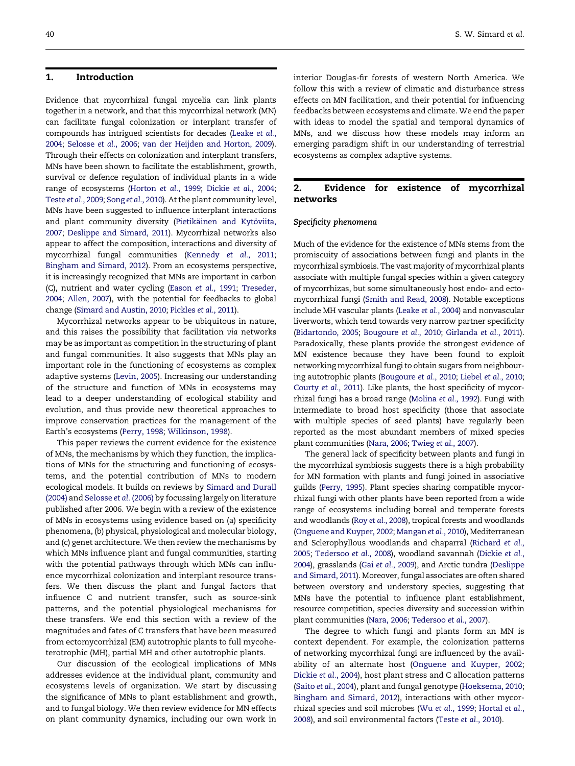# <span id="page-1-0"></span>1. Introduction

Evidence that mycorrhizal fungal mycelia can link plants together in a network, and that this mycorrhizal network (MN) can facilitate fungal colonization or interplant transfer of compounds has intrigued scientists for decades ([Leake](#page-19-0) et al., [2004](#page-19-0); [Selosse](#page-20-0) et al., 2006; [van der Heijden and Horton, 2009\)](#page-21-0). Through their effects on colonization and interplant transfers, MNs have been shown to facilitate the establishment, growth, survival or defence regulation of individual plants in a wide range of ecosystems [\(Horton](#page-19-0) et al., 1999; [Dickie](#page-18-0) et al., 2004; Teste et al.[, 2009;](#page-21-0) Song et al.[, 2010](#page-21-0)). At the plant community level, MNs have been suggested to influence interplant interactions and plant community diversity [\(Pietik](#page-20-0)ä[inen and Kyt](#page-20-0)öviita, [2007](#page-20-0); [Deslippe and Simard, 2011\)](#page-18-0). Mycorrhizal networks also appear to affect the composition, interactions and diversity of mycorrhizal fungal communities [\(Kennedy](#page-19-0) et al., 2011; [Bingham and Simard, 2012](#page-18-0)). From an ecosystems perspective, it is increasingly recognized that MNs are important in carbon (C), nutrient and water cycling (Eason et al.[, 1991;](#page-18-0) [Treseder,](#page-21-0) [2004](#page-21-0); [Allen, 2007](#page-17-0)), with the potential for feedbacks to global change [\(Simard and Austin, 2010](#page-20-0); [Pickles](#page-20-0) et al., 2011).

Mycorrhizal networks appear to be ubiquitous in nature, and this raises the possibility that facilitation via networks may be as important as competition in the structuring of plant and fungal communities. It also suggests that MNs play an important role in the functioning of ecosystems as complex adaptive systems ([Levin, 2005](#page-19-0)). Increasing our understanding of the structure and function of MNs in ecosystems may lead to a deeper understanding of ecological stability and evolution, and thus provide new theoretical approaches to improve conservation practices for the management of the Earth's ecosystems ([Perry, 1998](#page-20-0); [Wilkinson, 1998\)](#page-21-0).

This paper reviews the current evidence for the existence of MNs, the mechanisms by which they function, the implications of MNs for the structuring and functioning of ecosystems, and the potential contribution of MNs to modern ecological models. It builds on reviews by [Simard and Durall](#page-20-0) [\(2004\)](#page-20-0) and [Selosse](#page-20-0) et al. (2006) by focussing largely on literature published after 2006. We begin with a review of the existence of MNs in ecosystems using evidence based on (a) specificity phenomena, (b) physical, physiological and molecular biology, and (c) genet architecture. We then review the mechanisms by which MNs influence plant and fungal communities, starting with the potential pathways through which MNs can influence mycorrhizal colonization and interplant resource transfers. We then discuss the plant and fungal factors that influence C and nutrient transfer, such as source-sink patterns, and the potential physiological mechanisms for these transfers. We end this section with a review of the magnitudes and fates of C transfers that have been measured from ectomycorrhizal (EM) autotrophic plants to full mycoheterotrophic (MH), partial MH and other autotrophic plants.

Our discussion of the ecological implications of MNs addresses evidence at the individual plant, community and ecosystems levels of organization. We start by discussing the significance of MNs to plant establishment and growth, and to fungal biology. We then review evidence for MN effects on plant community dynamics, including our own work in

interior Douglas-fir forests of western North America. We follow this with a review of climatic and disturbance stress effects on MN facilitation, and their potential for influencing feedbacks between ecosystems and climate. We end the paper with ideas to model the spatial and temporal dynamics of MNs, and we discuss how these models may inform an emerging paradigm shift in our understanding of terrestrial ecosystems as complex adaptive systems.

### 2. Evidence for existence of mycorrhizal networks

### Specificity phenomena

Much of the evidence for the existence of MNs stems from the promiscuity of associations between fungi and plants in the mycorrhizal symbiosis. The vast majority of mycorrhizal plants associate with multiple fungal species within a given category of mycorrhizas, but some simultaneously host endo- and ectomycorrhizal fungi [\(Smith and Read, 2008](#page-20-0)). Notable exceptions include MH vascular plants ([Leake](#page-19-0) et al., 2004) and nonvascular liverworts, which tend towards very narrow partner specificity ([Bidartondo, 2005;](#page-18-0) [Bougoure](#page-18-0) et al., 2010; [Girlanda](#page-18-0) et al., 2011). Paradoxically, these plants provide the strongest evidence of MN existence because they have been found to exploit networking mycorrhizal fungi to obtain sugars from neighbouring autotrophic plants ([Bougoure](#page-18-0) et al., 2010; [Liebel](#page-19-0) et al., 2010; [Courty](#page-18-0) et al., 2011). Like plants, the host specificity of mycorrhizal fungi has a broad range [\(Molina](#page-20-0) et al., 1992). Fungi with intermediate to broad host specificity (those that associate with multiple species of seed plants) have regularly been reported as the most abundant members of mixed species plant communities [\(Nara, 2006](#page-20-0); [Twieg](#page-21-0) et al., 2007).

The general lack of specificity between plants and fungi in the mycorrhizal symbiosis suggests there is a high probability for MN formation with plants and fungi joined in associative guilds [\(Perry, 1995\)](#page-20-0). Plant species sharing compatible mycorrhizal fungi with other plants have been reported from a wide range of ecosystems including boreal and temperate forests and woodlands (Roy et al.[, 2008](#page-20-0)), tropical forests and woodlands ([Onguene and Kuyper, 2002](#page-20-0); [Mangan](#page-19-0) et al., 2010), Mediterranean and Sclerophyllous woodlands and chaparral [\(Richard](#page-20-0) et al., [2005;](#page-20-0) [Tedersoo](#page-21-0) et al., 2008), woodland savannah ([Dickie](#page-18-0) et al., [2004\)](#page-18-0), grasslands (Gai et al.[, 2009](#page-18-0)), and Arctic tundra [\(Deslippe](#page-18-0) [and Simard, 2011](#page-18-0)). Moreover, fungal associates are often shared between overstory and understory species, suggesting that MNs have the potential to influence plant establishment, resource competition, species diversity and succession within plant communities [\(Nara, 2006](#page-20-0); [Tedersoo](#page-21-0) et al., 2007).

The degree to which fungi and plants form an MN is context dependent. For example, the colonization patterns of networking mycorrhizal fungi are influenced by the availability of an alternate host ([Onguene and Kuyper, 2002](#page-20-0); [Dickie](#page-18-0) et al., 2004), host plant stress and C allocation patterns (Saito et al.[, 2004\)](#page-20-0), plant and fungal genotype ([Hoeksema, 2010](#page-19-0); [Bingham and Simard, 2012\)](#page-18-0), interactions with other mycorrhizal species and soil microbes (Wu et al.[, 1999](#page-21-0); [Hortal](#page-19-0) et al., [2008\)](#page-19-0), and soil environmental factors (Teste et al.[, 2010\)](#page-21-0).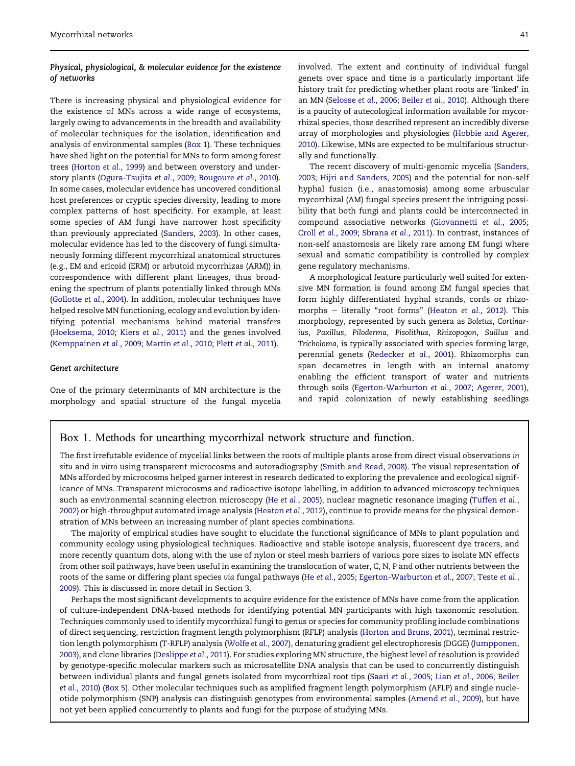### Physical, physiological, & molecular evidence for the existence of networks

There is increasing physical and physiological evidence for the existence of MNs across a wide range of ecosystems, largely owing to advancements in the breadth and availability of molecular techniques for the isolation, identification and analysis of environmental samples (Box 1). These techniques have shed light on the potential for MNs to form among forest trees [\(Horton](#page-19-0) et al., 1999) and between overstory and understory plants ([Ogura-Tsujita](#page-20-0) et al., 2009; [Bougoure](#page-18-0) et al., 2010). In some cases, molecular evidence has uncovered conditional host preferences or cryptic species diversity, leading to more complex patterns of host specificity. For example, at least some species of AM fungi have narrower host specificity than previously appreciated [\(Sanders, 2003\)](#page-20-0). In other cases, molecular evidence has led to the discovery of fungi simultaneously forming different mycorrhizal anatomical structures (e.g., EM and ericoid (ERM) or arbutoid mycorrhizas (ARM)) in correspondence with different plant lineages, thus broadening the spectrum of plants potentially linked through MNs [\(Gollotte](#page-19-0) et al., 2004). In addition, molecular techniques have helped resolve MN functioning, ecology and evolution by identifying potential mechanisms behind material transfers [\(Hoeksema, 2010;](#page-19-0) Kiers et al.[, 2011](#page-19-0)) and the genes involved [\(Kemppainen](#page-19-0) et al., 2009; [Martin](#page-19-0) et al., 2010; Plett et al.[, 2011](#page-20-0)).

## Genet architecture

One of the primary determinants of MN architecture is the morphology and spatial structure of the fungal mycelia involved. The extent and continuity of individual fungal genets over space and time is a particularly important life history trait for predicting whether plant roots are 'linked' in an MN [\(Selosse](#page-20-0) et al., 2006; [Beiler](#page-18-0) et al., 2010). Although there is a paucity of autecological information available for mycorrhizal species, those described represent an incredibly diverse array of morphologies and physiologies ([Hobbie and Agerer,](#page-19-0) [2010](#page-19-0)). Likewise, MNs are expected to be multifarious structurally and functionally.

The recent discovery of multi-genomic mycelia [\(Sanders,](#page-20-0) [2003](#page-20-0); [Hijri and Sanders, 2005](#page-19-0)) and the potential for non-self hyphal fusion (i.e., anastomosis) among some arbuscular mycorrhizal (AM) fungal species present the intriguing possibility that both fungi and plants could be interconnected in compound associative networks ([Giovannetti](#page-18-0) et al., 2005; Croll et al.[, 2009](#page-18-0); [Sbrana](#page-20-0) et al., 2011). In contrast, instances of non-self anastomosis are likely rare among EM fungi where sexual and somatic compatibility is controlled by complex gene regulatory mechanisms.

A morphological feature particularly well suited for extensive MN formation is found among EM fungal species that form highly differentiated hyphal strands, cords or rhizomorphs e literally "root forms" [\(Heaton](#page-19-0) et al., 2012). This morphology, represented by such genera as Boletus, Cortinarius, Paxillus, Piloderma, Pisolithus, Rhizopogon, Suillus and Tricholoma, is typically associated with species forming large, perennial genets [\(Redecker](#page-20-0) et al., 2001). Rhizomorphs can span decametres in length with an internal anatomy enabling the efficient transport of water and nutrients through soils [\(Egerton-Warburton](#page-18-0) et al., 2007; [Agerer, 2001](#page-17-0)), and rapid colonization of newly establishing seedlings

# Box 1. Methods for unearthing mycorrhizal network structure and function.

The first irrefutable evidence of mycelial links between the roots of multiple plants arose from direct visual observations in situ and in vitro using transparent microcosms and autoradiography [\(Smith and Read, 2008](#page-20-0)). The visual representation of MNs afforded by microcosms helped garner interest in research dedicated to exploring the prevalence and ecological significance of MNs. Transparent microcosms and radioactive isotope labelling, in addition to advanced microscopy techniques such as environmental scanning electron microscopy (He et al.[, 2005](#page-19-0)), nuclear magnetic resonance imaging [\(Tuffen](#page-21-0) et al., [2002](#page-21-0)) or high-throughput automated image analysis [\(Heaton](#page-19-0) et al., 2012), continue to provide means for the physical demonstration of MNs between an increasing number of plant species combinations.

The majority of empirical studies have sought to elucidate the functional significance of MNs to plant population and community ecology using physiological techniques. Radioactive and stable isotope analysis, fluorescent dye tracers, and more recently quantum dots, along with the use of nylon or steel mesh barriers of various pore sizes to isolate MN effects from other soil pathways, have been useful in examining the translocation of water, C, N, P and other nutrients between the roots of the same or differing plant species via fungal pathways (He et al.[, 2005;](#page-19-0) [Egerton-Warburton](#page-18-0) et al., 2007; [Teste](#page-21-0) et al., [2009](#page-21-0)). This is discussed in more detail in Section [3](#page-3-0).

Perhaps the most significant developments to acquire evidence for the existence of MNs have come from the application of culture-independent DNA-based methods for identifying potential MN participants with high taxonomic resolution. Techniques commonly used to identify mycorrhizal fungi to genus or species for community profiling include combinations of direct sequencing, restriction fragment length polymorphism (RFLP) analysis ([Horton and Bruns, 2001](#page-19-0)), terminal restriction length polymorphism (T-RFLP) analysis [\(Wolfe](#page-21-0) et al., 2007), denaturing gradient gel electrophoresis (DGGE) ([Jumpponen,](#page-19-0) [2003](#page-19-0)), and clone libraries [\(Deslippe](#page-18-0) et al., 2011). For studies exploring MN structure, the highest level of resolution is provided by genotype-specific molecular markers such as microsatellite DNA analysis that can be used to concurrently distinguish between individual plants and fungal genets isolated from mycorrhizal root tips (Saari et al.[, 2005](#page-20-0); Lian et al.[, 2006;](#page-19-0) [Beiler](#page-18-0) et al.[, 2010\)](#page-18-0) (Box 5). Other molecular techniques such as amplified fragment length polymorphism (AFLP) and single nucleotide polymorphism (SNP) analysis can distinguish genotypes from environmental samples [\(Amend](#page-18-0) et al., 2009), but have not yet been applied concurrently to plants and fungi for the purpose of studying MNs.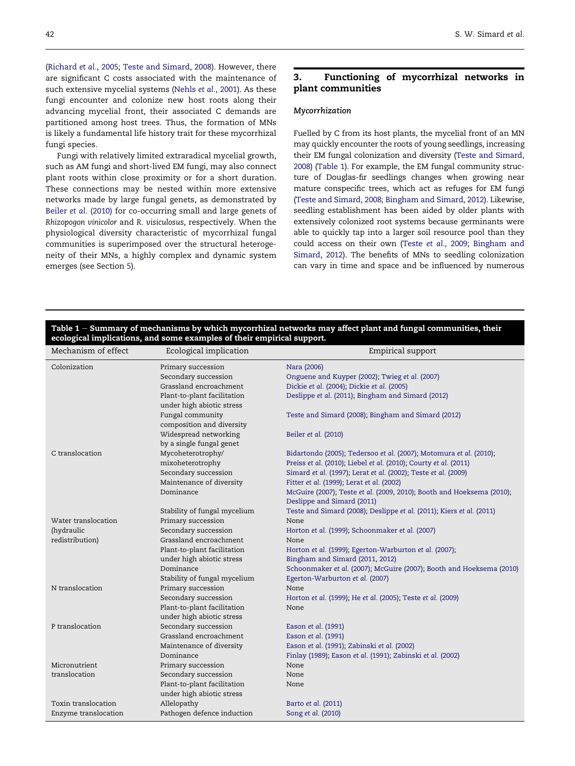<span id="page-3-0"></span>([Richard](#page-20-0) et al., 2005; [Teste and Simard, 2008](#page-21-0)). However, there are significant C costs associated with the maintenance of such extensive mycelial systems (Nehls et al.[, 2001\)](#page-20-0). As these fungi encounter and colonize new host roots along their advancing mycelial front, their associated C demands are partitioned among host trees. Thus, the formation of MNs is likely a fundamental life history trait for these mycorrhizal fungi species.

Fungi with relatively limited extraradical mycelial growth, such as AM fungi and short-lived EM fungi, may also connect plant roots within close proximity or for a short duration. These connections may be nested within more extensive networks made by large fungal genets, as demonstrated by Beiler et al. [\(2010\)](#page-18-0) for co-occurring small and large genets of Rhizopogon vinicolor and R. visiculosus, respectively. When the physiological diversity characteristic of mycorrhizal fungal communities is superimposed over the structural heterogeneity of their MNs, a highly complex and dynamic system emerges (see Section [5\)](#page-13-0).

# 3. Functioning of mycorrhizal networks in plant communities

### Mycorrhization

Fuelled by C from its host plants, the mycelial front of an MN may quickly encounter the roots of young seedlings, increasing their EM fungal colonization and diversity ([Teste and Simard,](#page-21-0) [2008\)](#page-21-0) (Table 1). For example, the EM fungal community structure of Douglas-fir seedlings changes when growing near mature conspecific trees, which act as refuges for EM fungi ([Teste and Simard, 2008](#page-21-0); [Bingham and Simard, 2012](#page-18-0)). Likewise, seedling establishment has been aided by older plants with extensively colonized root systems because germinants were able to quickly tap into a larger soil resource pool than they could access on their own (Teste et al.[, 2009](#page-21-0); [Bingham and](#page-18-0) [Simard, 2012](#page-18-0)). The benefits of MNs to seedling colonization can vary in time and space and be influenced by numerous

Table  $1$  – Summary of mechanisms by which mycorrhizal networks may affect plant and fungal communities, their ecological implications, and some examples of their empirical support.

| Colonization<br>Nara (2006)<br>Primary succession<br>Secondary succession<br>Onguene and Kuyper (2002); Twieg et al. (2007)<br>Grassland encroachment<br>Dickie et al. (2004); Dickie et al. (2005)<br>Plant-to-plant facilitation<br>Deslippe et al. (2011); Bingham and Simard (2012)<br>under high abiotic stress<br>Fungal community<br>Teste and Simard (2008); Bingham and Simard (2012)<br>composition and diversity<br>Widespread networking<br>Beiler et al. (2010)<br>by a single fungal genet |
|----------------------------------------------------------------------------------------------------------------------------------------------------------------------------------------------------------------------------------------------------------------------------------------------------------------------------------------------------------------------------------------------------------------------------------------------------------------------------------------------------------|
|                                                                                                                                                                                                                                                                                                                                                                                                                                                                                                          |
|                                                                                                                                                                                                                                                                                                                                                                                                                                                                                                          |
|                                                                                                                                                                                                                                                                                                                                                                                                                                                                                                          |
|                                                                                                                                                                                                                                                                                                                                                                                                                                                                                                          |
|                                                                                                                                                                                                                                                                                                                                                                                                                                                                                                          |
|                                                                                                                                                                                                                                                                                                                                                                                                                                                                                                          |
|                                                                                                                                                                                                                                                                                                                                                                                                                                                                                                          |
|                                                                                                                                                                                                                                                                                                                                                                                                                                                                                                          |
|                                                                                                                                                                                                                                                                                                                                                                                                                                                                                                          |
| C translocation<br>Mycoheterotrophy/<br>Bidartondo (2005); Tedersoo et al. (2007); Motomura et al. (2010);                                                                                                                                                                                                                                                                                                                                                                                               |
| mixoheterotrophy<br>Preiss et al. (2010); Liebel et al. (2010); Courty et al. (2011)                                                                                                                                                                                                                                                                                                                                                                                                                     |
| Secondary succession<br>Simard et al. (1997); Lerat et al. (2002); Teste et al. (2009)                                                                                                                                                                                                                                                                                                                                                                                                                   |
| Maintenance of diversity<br>Fitter et al. (1999); Lerat et al. (2002)                                                                                                                                                                                                                                                                                                                                                                                                                                    |
| Dominance<br>McGuire (2007); Teste et al. (2009, 2010); Booth and Hoeksema (2010);                                                                                                                                                                                                                                                                                                                                                                                                                       |
| Deslippe and Simard (2011)                                                                                                                                                                                                                                                                                                                                                                                                                                                                               |
| Teste and Simard (2008); Deslippe et al. (2011); Kiers et al. (2011)<br>Stability of fungal mycelium                                                                                                                                                                                                                                                                                                                                                                                                     |
| Water translocation<br>Primary succession<br>None                                                                                                                                                                                                                                                                                                                                                                                                                                                        |
| Secondary succession<br>(hydraulic<br>Horton et al. (1999); Schoonmaker et al. (2007)<br>Grassland encroachment                                                                                                                                                                                                                                                                                                                                                                                          |
| redistribution)<br>None                                                                                                                                                                                                                                                                                                                                                                                                                                                                                  |
| Plant-to-plant facilitation<br>Horton et al. (1999); Egerton-Warburton et al. (2007);                                                                                                                                                                                                                                                                                                                                                                                                                    |
| Bingham and Simard (2011, 2012)<br>under high abiotic stress<br>Dominance<br>Schoonmaker et al. (2007); McGuire (2007); Booth and Hoeksema (2010)                                                                                                                                                                                                                                                                                                                                                        |
| Stability of fungal mycelium<br>Egerton-Warburton et al. (2007)                                                                                                                                                                                                                                                                                                                                                                                                                                          |
| N translocation<br>Primary succession<br>None                                                                                                                                                                                                                                                                                                                                                                                                                                                            |
| Secondary succession<br>Horton et al. (1999); He et al. (2005); Teste et al. (2009)                                                                                                                                                                                                                                                                                                                                                                                                                      |
| Plant-to-plant facilitation<br>None                                                                                                                                                                                                                                                                                                                                                                                                                                                                      |
| under high abiotic stress                                                                                                                                                                                                                                                                                                                                                                                                                                                                                |
| P translocation<br>Secondary succession<br>Eason et al. (1991)                                                                                                                                                                                                                                                                                                                                                                                                                                           |
| Grassland encroachment<br>Eason et al. (1991)                                                                                                                                                                                                                                                                                                                                                                                                                                                            |
| Maintenance of diversity<br>Eason et al. (1991); Zabinski et al. (2002)                                                                                                                                                                                                                                                                                                                                                                                                                                  |
| Finlay (1989); Eason et al. (1991); Zabinski et al. (2002)<br>Dominance                                                                                                                                                                                                                                                                                                                                                                                                                                  |
| Micronutrient<br>Primary succession<br>None                                                                                                                                                                                                                                                                                                                                                                                                                                                              |
| translocation<br>Secondary succession<br>None                                                                                                                                                                                                                                                                                                                                                                                                                                                            |
| Plant-to-plant facilitation<br>None                                                                                                                                                                                                                                                                                                                                                                                                                                                                      |
| under high abiotic stress                                                                                                                                                                                                                                                                                                                                                                                                                                                                                |
| Toxin translocation<br>Allelopathy<br>Barto et al. (2011)                                                                                                                                                                                                                                                                                                                                                                                                                                                |
| Pathogen defence induction<br>Song et al. (2010)<br>Enzyme translocation                                                                                                                                                                                                                                                                                                                                                                                                                                 |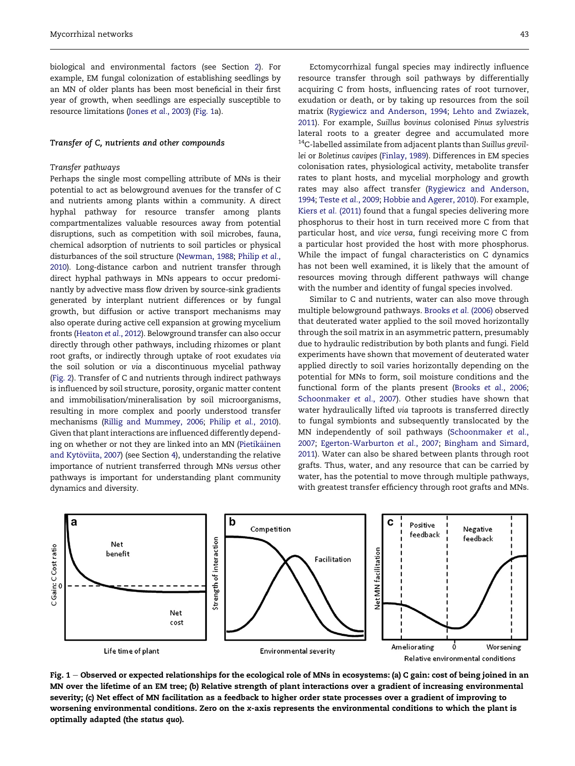<span id="page-4-0"></span>biological and environmental factors (see Section [2](#page-1-0)). For example, EM fungal colonization of establishing seedlings by an MN of older plants has been most beneficial in their first year of growth, when seedlings are especially susceptible to resource limitations (Jones et al.[, 2003](#page-19-0)) (Fig. 1a).

#### Transfer of C, nutrients and other compounds

#### Transfer pathways

Perhaps the single most compelling attribute of MNs is their potential to act as belowground avenues for the transfer of C and nutrients among plants within a community. A direct hyphal pathway for resource transfer among plants compartmentalizes valuable resources away from potential disruptions, such as competition with soil microbes, fauna, chemical adsorption of nutrients to soil particles or physical disturbances of the soil structure [\(Newman, 1988;](#page-20-0) [Philip](#page-20-0) et al., [2010](#page-20-0)). Long-distance carbon and nutrient transfer through direct hyphal pathways in MNs appears to occur predominantly by advective mass flow driven by source-sink gradients generated by interplant nutrient differences or by fungal growth, but diffusion or active transport mechanisms may also operate during active cell expansion at growing mycelium fronts [\(Heaton](#page-19-0) et al., 2012). Belowground transfer can also occur directly through other pathways, including rhizomes or plant root grafts, or indirectly through uptake of root exudates via the soil solution or via a discontinuous mycelial pathway [\(Fig. 2](#page-5-0)). Transfer of C and nutrients through indirect pathways is influenced by soil structure, porosity, organic matter content and immobilisation/mineralisation by soil microorganisms, resulting in more complex and poorly understood transfer mechanisms ([Rillig and Mummey, 2006;](#page-20-0) Philip et al.[, 2010](#page-20-0)). Given that plant interactions are influenced differently depend-ing on whether or not they are linked into an MN [\(Pietik](#page-20-0)ä[inen](#page-20-0) and Kytöviita, 2007) (see Section [4\)](#page-7-0), understanding the relative importance of nutrient transferred through MNs versus other pathways is important for understanding plant community dynamics and diversity.

Ectomycorrhizal fungal species may indirectly influence resource transfer through soil pathways by differentially acquiring C from hosts, influencing rates of root turnover, exudation or death, or by taking up resources from the soil matrix [\(Rygiewicz and Anderson, 1994](#page-20-0); [Lehto and Zwiazek,](#page-19-0) [2011](#page-19-0)). For example, Suillus bovinus colonised Pinus sylvestris lateral roots to a greater degree and accumulated more  $14$ C-labelled assimilate from adjacent plants than Suillus grevillei or Boletinus cavipes ([Finlay, 1989](#page-18-0)). Differences in EM species colonisation rates, physiological activity, metabolite transfer rates to plant hosts, and mycelial morphology and growth rates may also affect transfer ([Rygiewicz and Anderson,](#page-20-0) [1994](#page-20-0); Teste et al.[, 2009](#page-21-0); [Hobbie and Agerer, 2010](#page-19-0)). For example, Kiers et al. [\(2011\)](#page-19-0) found that a fungal species delivering more phosphorus to their host in turn received more C from that particular host, and vice versa, fungi receiving more C from a particular host provided the host with more phosphorus. While the impact of fungal characteristics on C dynamics has not been well examined, it is likely that the amount of resources moving through different pathways will change with the number and identity of fungal species involved.

Similar to C and nutrients, water can also move through multiple belowground pathways. [Brooks](#page-18-0) et al. (2006) observed that deuterated water applied to the soil moved horizontally through the soil matrix in an asymmetric pattern, presumably due to hydraulic redistribution by both plants and fungi. Field experiments have shown that movement of deuterated water applied directly to soil varies horizontally depending on the potential for MNs to form, soil moisture conditions and the functional form of the plants present [\(Brooks](#page-18-0) et al., 2006; [Schoonmaker](#page-20-0) et al., 2007). Other studies have shown that water hydraulically lifted via taproots is transferred directly to fungal symbionts and subsequently translocated by the MN independently of soil pathways [\(Schoonmaker](#page-20-0) et al., [2007](#page-20-0); [Egerton-Warburton](#page-18-0) et al., 2007; [Bingham and Simard,](#page-18-0) [2011](#page-18-0)). Water can also be shared between plants through root grafts. Thus, water, and any resource that can be carried by water, has the potential to move through multiple pathways, with greatest transfer efficiency through root grafts and MNs.



Fig.  $1 -$  Observed or expected relationships for the ecological role of MNs in ecosystems: (a) C gain: cost of being joined in an MN over the lifetime of an EM tree; (b) Relative strength of plant interactions over a gradient of increasing environmental severity; (c) Net effect of MN facilitation as a feedback to higher order state processes over a gradient of improving to worsening environmental conditions. Zero on the x-axis represents the environmental conditions to which the plant is optimally adapted (the status quo).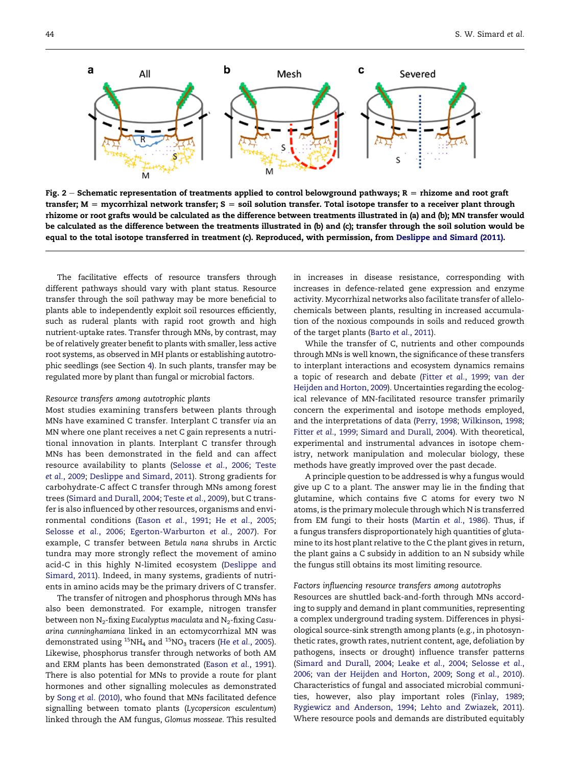<span id="page-5-0"></span>

Fig.  $2 -$  Schematic representation of treatments applied to control belowground pathways; R = rhizome and root graft transfer;  $M =$  mycorrhizal network transfer;  $S =$  soil solution transfer. Total isotope transfer to a receiver plant through rhizome or root grafts would be calculated as the difference between treatments illustrated in (a) and (b); MN transfer would be calculated as the difference between the treatments illustrated in (b) and (c); transfer through the soil solution would be equal to the total isotope transferred in treatment (c). Reproduced, with permission, from [Deslippe and Simard \(2011\)](#page-18-0).

The facilitative effects of resource transfers through different pathways should vary with plant status. Resource transfer through the soil pathway may be more beneficial to plants able to independently exploit soil resources efficiently, such as ruderal plants with rapid root growth and high nutrient-uptake rates. Transfer through MNs, by contrast, may be of relatively greater benefit to plants with smaller, less active root systems, as observed in MH plants or establishing autotrophic seedlings (see Section [4](#page-7-0)). In such plants, transfer may be regulated more by plant than fungal or microbial factors.

### Resource transfers among autotrophic plants

Most studies examining transfers between plants through MNs have examined C transfer. Interplant C transfer via an MN where one plant receives a net C gain represents a nutritional innovation in plants. Interplant C transfer through MNs has been demonstrated in the field and can affect resource availability to plants [\(Selosse](#page-20-0) et al., 2006; [Teste](#page-21-0) et al.[, 2009](#page-21-0); [Deslippe and Simard, 2011](#page-18-0)). Strong gradients for carbohydrate-C affect C transfer through MNs among forest trees [\(Simard and Durall, 2004;](#page-20-0) Teste et al.[, 2009](#page-21-0)), but C transfer is also influenced by other resources, organisms and environmental conditions (Eason et al.[, 1991;](#page-18-0) He et al.[, 2005](#page-19-0); [Selosse](#page-20-0) et al., 2006; [Egerton-Warburton](#page-18-0) et al., 2007). For example, C transfer between Betula nana shrubs in Arctic tundra may more strongly reflect the movement of amino acid-C in this highly N-limited ecosystem [\(Deslippe and](#page-18-0) [Simard, 2011\)](#page-18-0). Indeed, in many systems, gradients of nutrients in amino acids may be the primary drivers of C transfer.

The transfer of nitrogen and phosphorus through MNs has also been demonstrated. For example, nitrogen transfer between non  $N_2$ -fixing Eucalyptus maculata and  $N_2$ -fixing Casuarina cunninghamiana linked in an ectomycorrhizal MN was demonstrated using  $^{15}NH_4$  and  $^{15}NO_3$  tracers (He et al.[, 2005\)](#page-19-0). Likewise, phosphorus transfer through networks of both AM and ERM plants has been demonstrated [\(Eason](#page-18-0) et al., 1991). There is also potential for MNs to provide a route for plant hormones and other signalling molecules as demonstrated by Song et al. [\(2010\)](#page-21-0), who found that MNs facilitated defence signalling between tomato plants (Lycopersicon esculentum) linked through the AM fungus, Glomus mosseae. This resulted

in increases in disease resistance, corresponding with increases in defence-related gene expression and enzyme activity. Mycorrhizal networks also facilitate transfer of allelochemicals between plants, resulting in increased accumulation of the noxious compounds in soils and reduced growth of the target plants (Barto et al.[, 2011\)](#page-18-0).

While the transfer of C, nutrients and other compounds through MNs is well known, the significance of these transfers to interplant interactions and ecosystem dynamics remains a topic of research and debate (Fitter et al.[, 1999;](#page-18-0) [van der](#page-21-0) [Heijden and Horton, 2009](#page-21-0)). Uncertainties regarding the ecological relevance of MN-facilitated resource transfer primarily concern the experimental and isotope methods employed, and the interpretations of data [\(Perry, 1998;](#page-20-0) [Wilkinson, 1998](#page-21-0); Fitter et al.[, 1999;](#page-18-0) [Simard and Durall, 2004](#page-20-0)). With theoretical, experimental and instrumental advances in isotope chemistry, network manipulation and molecular biology, these methods have greatly improved over the past decade.

A principle question to be addressed is why a fungus would give up C to a plant. The answer may lie in the finding that glutamine, which contains five C atoms for every two N atoms, is the primary molecule through which N is transferred from EM fungi to their hosts ([Martin](#page-19-0) et al., 1986). Thus, if a fungus transfers disproportionately high quantities of glutamine to its host plant relative to the C the plant gives in return, the plant gains a C subsidy in addition to an N subsidy while the fungus still obtains its most limiting resource.

#### Factors influencing resource transfers among autotrophs

Resources are shuttled back-and-forth through MNs according to supply and demand in plant communities, representing a complex underground trading system. Differences in physiological source-sink strength among plants (e.g., in photosynthetic rates, growth rates, nutrient content, age, defoliation by pathogens, insects or drought) influence transfer patterns ([Simard and Durall, 2004](#page-20-0); Leake et al.[, 2004](#page-19-0); [Selosse](#page-20-0) et al., [2006;](#page-20-0) [van der Heijden and Horton, 2009;](#page-21-0) Song et al.[, 2010\)](#page-21-0). Characteristics of fungal and associated microbial communities, however, also play important roles ([Finlay, 1989](#page-18-0); [Rygiewicz and Anderson, 1994](#page-20-0); [Lehto and Zwiazek, 2011\)](#page-19-0). Where resource pools and demands are distributed equitably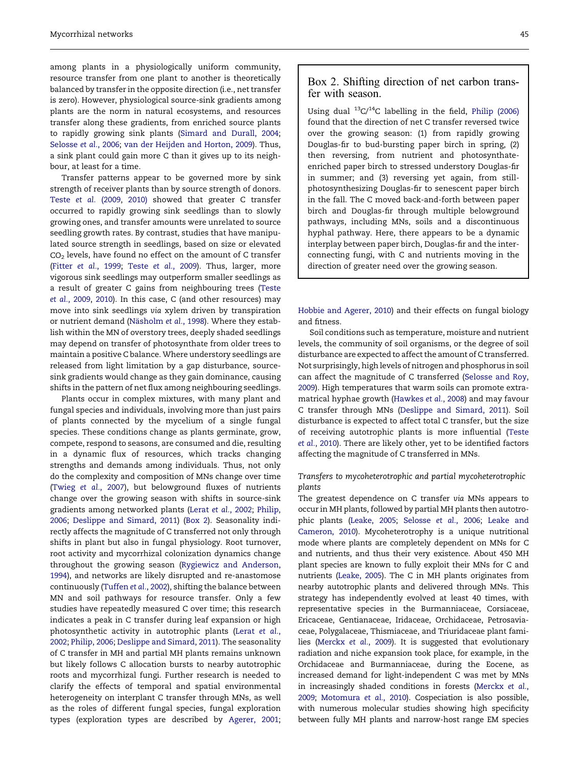among plants in a physiologically uniform community, resource transfer from one plant to another is theoretically balanced by transfer in the opposite direction (i.e., net transfer is zero). However, physiological source-sink gradients among plants are the norm in natural ecosystems, and resources transfer along these gradients, from enriched source plants to rapidly growing sink plants ([Simard and Durall, 2004;](#page-20-0) [Selosse](#page-20-0) et al., 2006; [van der Heijden and Horton, 2009\)](#page-21-0). Thus, a sink plant could gain more C than it gives up to its neighbour, at least for a time.

Transfer patterns appear to be governed more by sink strength of receiver plants than by source strength of donors. Teste [et al.](#page-21-0) (2009, [2010\)](#page-21-0) showed that greater C transfer occurred to rapidly growing sink seedlings than to slowly growing ones, and transfer amounts were unrelated to source seedling growth rates. By contrast, studies that have manipulated source strength in seedlings, based on size or elevated  $CO<sub>2</sub>$  levels, have found no effect on the amount of C transfer (Fitter et al.[, 1999](#page-18-0); Teste et al.[, 2009\)](#page-21-0). Thus, larger, more vigorous sink seedlings may outperform smaller seedlings as a result of greater C gains from neighbouring trees ([Teste](#page-21-0) et al.[, 2009,](#page-21-0) [2010\)](#page-21-0). In this case, C (and other resources) may move into sink seedlings via xylem driven by transpiration or nutrient demand [\(N](#page-20-0)ä[sholm](#page-20-0) et al., 1998). Where they establish within the MN of overstory trees, deeply shaded seedlings may depend on transfer of photosynthate from older trees to maintain a positive C balance. Where understory seedlings are released from light limitation by a gap disturbance, sourcesink gradients would change as they gain dominance, causing shifts in the pattern of net flux among neighbouring seedlings.

Plants occur in complex mixtures, with many plant and fungal species and individuals, involving more than just pairs of plants connected by the mycelium of a single fungal species. These conditions change as plants germinate, grow, compete, respond to seasons, are consumed and die, resulting in a dynamic flux of resources, which tracks changing strengths and demands among individuals. Thus, not only do the complexity and composition of MNs change over time (Twieg et al.[, 2007\)](#page-21-0), but belowground fluxes of nutrients change over the growing season with shifts in source-sink gradients among networked plants (Lerat et al.[, 2002](#page-19-0); [Philip,](#page-20-0) [2006](#page-20-0); [Deslippe and Simard, 2011\)](#page-18-0) (Box 2). Seasonality indirectly affects the magnitude of C transferred not only through shifts in plant but also in fungal physiology. Root turnover, root activity and mycorrhizal colonization dynamics change throughout the growing season [\(Rygiewicz and Anderson,](#page-20-0) [1994](#page-20-0)), and networks are likely disrupted and re-anastomose continuously [\(Tuffen](#page-21-0) et al., 2002), shifting the balance between MN and soil pathways for resource transfer. Only a few studies have repeatedly measured C over time; this research indicates a peak in C transfer during leaf expansion or high photosynthetic activity in autotrophic plants (Lerat [et al.](#page-19-0), [2002](#page-19-0); [Philip, 2006](#page-20-0); [Deslippe and Simard, 2011](#page-18-0)). The seasonality of C transfer in MH and partial MH plants remains unknown but likely follows C allocation bursts to nearby autotrophic roots and mycorrhizal fungi. Further research is needed to clarify the effects of temporal and spatial environmental heterogeneity on interplant C transfer through MNs, as well as the roles of different fungal species, fungal exploration types (exploration types are described by [Agerer, 2001;](#page-17-0)

# Box 2. Shifting direction of net carbon transfer with season.

Using dual  $^{13}C/^{14}C$  labelling in the field, [Philip \(2006\)](#page-20-0) found that the direction of net C transfer reversed twice over the growing season: (1) from rapidly growing Douglas-fir to bud-bursting paper birch in spring, (2) then reversing, from nutrient and photosynthateenriched paper birch to stressed understory Douglas-fir in summer; and (3) reversing yet again, from stillphotosynthesizing Douglas-fir to senescent paper birch in the fall. The C moved back-and-forth between paper birch and Douglas-fir through multiple belowground pathways, including MNs, soils and a discontinuous hyphal pathway. Here, there appears to be a dynamic interplay between paper birch, Douglas-fir and the interconnecting fungi, with C and nutrients moving in the direction of greater need over the growing season.

[Hobbie and Agerer, 2010](#page-19-0)) and their effects on fungal biology and fitness.

Soil conditions such as temperature, moisture and nutrient levels, the community of soil organisms, or the degree of soil disturbance are expected to affect the amount of C transferred. Not surprisingly, high levels of nitrogen and phosphorus in soil can affect the magnitude of C transferred ([Selosse and Roy,](#page-20-0) [2009](#page-20-0)). High temperatures that warm soils can promote extramatrical hyphae growth [\(Hawkes](#page-19-0) et al., 2008) and may favour C transfer through MNs ([Deslippe and Simard, 2011](#page-18-0)). Soil disturbance is expected to affect total C transfer, but the size of receiving autotrophic plants is more influential ([Teste](#page-21-0) et al.[, 2010\)](#page-21-0). There are likely other, yet to be identified factors affecting the magnitude of C transferred in MNs.

Transfers to mycoheterotrophic and partial mycoheterotrophic plants

The greatest dependence on C transfer via MNs appears to occur in MH plants, followed by partial MH plants then autotrophic plants [\(Leake, 2005](#page-19-0); [Selosse](#page-20-0) et al., 2006; [Leake and](#page-19-0) [Cameron, 2010\)](#page-19-0). Mycoheterotrophy is a unique nutritional mode where plants are completely dependent on MNs for C and nutrients, and thus their very existence. About 450 MH plant species are known to fully exploit their MNs for C and nutrients [\(Leake, 2005](#page-19-0)). The C in MH plants originates from nearby autotrophic plants and delivered through MNs. This strategy has independently evolved at least 40 times, with representative species in the Burmanniaceae, Corsiaceae, Ericaceae, Gentianaceae, Iridaceae, Orchidaceae, Petrosaviaceae, Polygalaceae, Thismiaceae, and Triuridaceae plant families [\(Merckx](#page-20-0) et al., 2009). It is suggested that evolutionary radiation and niche expansion took place, for example, in the Orchidaceae and Burmanniaceae, during the Eocene, as increased demand for light-independent C was met by MNs in increasingly shaded conditions in forests ([Merckx](#page-20-0) et al., [2009](#page-20-0); [Motomura](#page-20-0) et al., 2010). Cospeciation is also possible, with numerous molecular studies showing high specificity between fully MH plants and narrow-host range EM species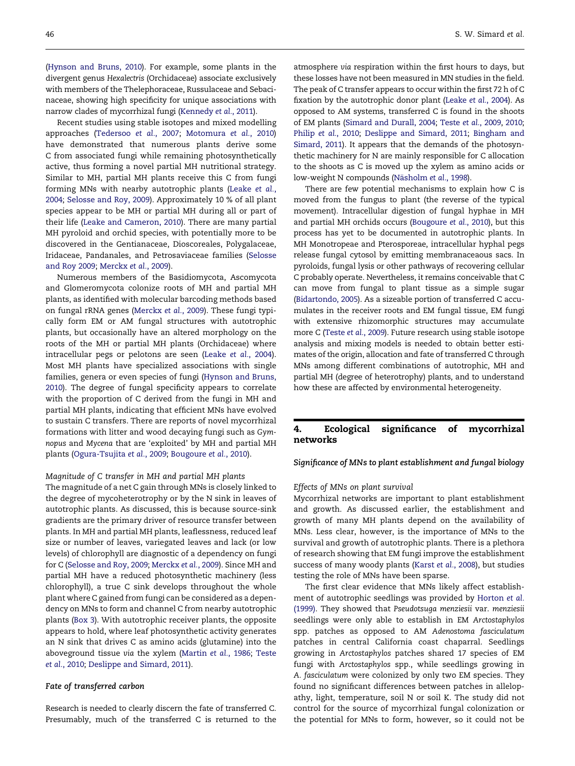<span id="page-7-0"></span>([Hynson and Bruns, 2010\)](#page-19-0). For example, some plants in the divergent genus Hexalectris (Orchidaceae) associate exclusively with members of the Thelephoraceae, Russulaceae and Sebacinaceae, showing high specificity for unique associations with narrow clades of mycorrhizal fungi [\(Kennedy](#page-19-0) et al., 2011).

Recent studies using stable isotopes and mixed modelling approaches ([Tedersoo](#page-21-0) et al., 2007; [Motomura](#page-20-0) et al., 2010) have demonstrated that numerous plants derive some C from associated fungi while remaining photosynthetically active, thus forming a novel partial MH nutritional strategy. Similar to MH, partial MH plants receive this C from fungi forming MNs with nearby autotrophic plants [\(Leake](#page-19-0) et al., [2004;](#page-19-0) [Selosse and Roy, 2009](#page-20-0)). Approximately 10 % of all plant species appear to be MH or partial MH during all or part of their life [\(Leake and Cameron, 2010](#page-19-0)). There are many partial MH pyroloid and orchid species, with potentially more to be discovered in the Gentianaceae, Dioscoreales, Polygalaceae, Iridaceae, Pandanales, and Petrosaviaceae families ([Selosse](#page-20-0) [and Roy 2009;](#page-20-0) [Merckx](#page-20-0) et al., 2009).

Numerous members of the Basidiomycota, Ascomycota and Glomeromycota colonize roots of MH and partial MH plants, as identified with molecular barcoding methods based on fungal rRNA genes [\(Merckx](#page-20-0) et al., 2009). These fungi typically form EM or AM fungal structures with autotrophic plants, but occasionally have an altered morphology on the roots of the MH or partial MH plants (Orchidaceae) where intracellular pegs or pelotons are seen (Leake et al.[, 2004\)](#page-19-0). Most MH plants have specialized associations with single families, genera or even species of fungi [\(Hynson and Bruns,](#page-19-0) [2010\)](#page-19-0). The degree of fungal specificity appears to correlate with the proportion of C derived from the fungi in MH and partial MH plants, indicating that efficient MNs have evolved to sustain C transfers. There are reports of novel mycorrhizal formations with litter and wood decaying fungi such as Gymnopus and Mycena that are 'exploited' by MH and partial MH plants [\(Ogura-Tsujita](#page-20-0) et al., 2009; [Bougoure](#page-18-0) et al., 2010).

#### Magnitude of C transfer in MH and partial MH plants

The magnitude of a net C gain through MNs is closely linked to the degree of mycoheterotrophy or by the N sink in leaves of autotrophic plants. As discussed, this is because source-sink gradients are the primary driver of resource transfer between plants. In MH and partial MH plants, leaflessness, reduced leaf size or number of leaves, variegated leaves and lack (or low levels) of chlorophyll are diagnostic of a dependency on fungi for C [\(Selosse and Roy, 2009](#page-20-0); [Merckx](#page-20-0) et al., 2009). Since MH and partial MH have a reduced photosynthetic machinery (less chlorophyll), a true C sink develops throughout the whole plant where C gained from fungi can be considered as a dependency on MNs to form and channel C from nearby autotrophic plants (Box 3). With autotrophic receiver plants, the opposite appears to hold, where leaf photosynthetic activity generates an N sink that drives C as amino acids (glutamine) into the aboveground tissue via the xylem [\(Martin](#page-19-0) et al., 1986; [Teste](#page-21-0) et al.[, 2010](#page-21-0); [Deslippe and Simard, 2011](#page-18-0)).

### Fate of transferred carbon

Research is needed to clearly discern the fate of transferred C. Presumably, much of the transferred C is returned to the atmosphere via respiration within the first hours to days, but these losses have not been measured in MN studies in the field. The peak of C transfer appears to occur within the first 72 h of C fixation by the autotrophic donor plant (Leake et al.[, 2004](#page-19-0)). As opposed to AM systems, transferred C is found in the shoots of EM plants [\(Simard and Durall, 2004](#page-20-0); Teste et al.[, 2009](#page-21-0), [2010](#page-21-0); Philip et al.[, 2010](#page-20-0); [Deslippe and Simard, 2011](#page-18-0); [Bingham and](#page-18-0) [Simard, 2011](#page-18-0)). It appears that the demands of the photosynthetic machinery for N are mainly responsible for C allocation to the shoots as C is moved up the xylem as amino acids or low-weight N compounds [\(N](#page-20-0)ä[sholm](#page-20-0) et al., 1998).

There are few potential mechanisms to explain how C is moved from the fungus to plant (the reverse of the typical movement). Intracellular digestion of fungal hyphae in MH and partial MH orchids occurs [\(Bougoure](#page-18-0) et al., 2010), but this process has yet to be documented in autotrophic plants. In MH Monotropeae and Pterosporeae, intracellular hyphal pegs release fungal cytosol by emitting membranaceaous sacs. In pyroloids, fungal lysis or other pathways of recovering cellular C probably operate. Nevertheless, it remains conceivable that C can move from fungal to plant tissue as a simple sugar ([Bidartondo, 2005\)](#page-18-0). As a sizeable portion of transferred C accumulates in the receiver roots and EM fungal tissue, EM fungi with extensive rhizomorphic structures may accumulate more C (Teste et al.[, 2009](#page-21-0)). Future research using stable isotope analysis and mixing models is needed to obtain better estimates of the origin, allocation and fate of transferred C through MNs among different combinations of autotrophic, MH and partial MH (degree of heterotrophy) plants, and to understand how these are affected by environmental heterogeneity.

# 4. Ecological significance of mycorrhizal networks

Significance of MNs to plant establishment and fungal biology

### Effects of MNs on plant survival

Mycorrhizal networks are important to plant establishment and growth. As discussed earlier, the establishment and growth of many MH plants depend on the availability of MNs. Less clear, however, is the importance of MNs to the survival and growth of autotrophic plants. There is a plethora of research showing that EM fungi improve the establishment success of many woody plants (Karst et al.[, 2008\)](#page-19-0), but studies testing the role of MNs have been sparse.

The first clear evidence that MNs likely affect establishment of autotrophic seedlings was provided by [Horton](#page-19-0) et al. [\(1999\).](#page-19-0) They showed that Pseudotsuga menziesii var. menziesii seedlings were only able to establish in EM Arctostaphylos spp. patches as opposed to AM Adenostoma fasciculatum patches in central California coast chaparral. Seedlings growing in Arctostaphylos patches shared 17 species of EM fungi with Arctostaphylos spp., while seedlings growing in A. fasciculatum were colonized by only two EM species. They found no significant differences between patches in allelopathy, light, temperature, soil N or soil K. The study did not control for the source of mycorrhizal fungal colonization or the potential for MNs to form, however, so it could not be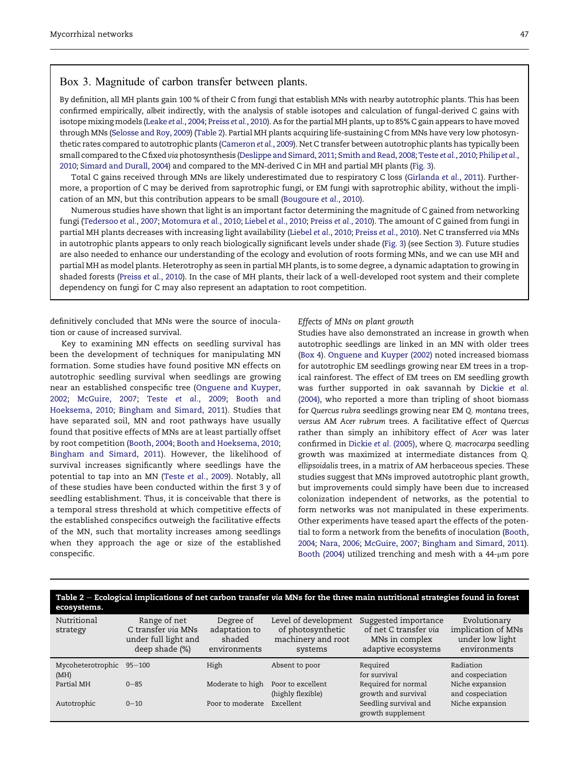# Box 3. Magnitude of carbon transfer between plants.

By definition, all MH plants gain 100 % of their C from fungi that establish MNs with nearby autotrophic plants. This has been confirmed empirically, albeit indirectly, with the analysis of stable isotopes and calculation of fungal-derived C gains with isotope mixing models [\(Leake](#page-19-0) et al., 2004; [Preiss](#page-20-0) et al., 2010). As for the partial MH plants, up to 85% C gain appears to have moved through MNs ([Selosse and Roy, 2009](#page-20-0)) (Table 2). Partial MH plants acquiring life-sustaining C from MNs have very low photosynthetic rates compared to autotrophic plants [\(Cameron](#page-18-0) et al., 2009). Net C transfer between autotrophic plants has typically been small compared to the C fixedvia photosynthesis [\(Deslippe and Simard, 2011;](#page-18-0) [Smith and Read, 2008](#page-20-0);Teste et al.[, 2010;](#page-21-0) [Philip](#page-20-0)et al., [2010](#page-20-0); [Simard and Durall, 2004](#page-20-0)) and compared to the MN-derived C in MH and partial MH plants [\(Fig. 3\)](#page-9-0).

Total C gains received through MNs are likely underestimated due to respiratory C loss ([Girlanda](#page-18-0) et al., 2011). Furthermore, a proportion of C may be derived from saprotrophic fungi, or EM fungi with saprotrophic ability, without the implication of an MN, but this contribution appears to be small ([Bougoure](#page-18-0) et al., 2010).

Numerous studies have shown that light is an important factor determining the magnitude of C gained from networking fungi ([Tedersoo](#page-21-0) et al., 2007; [Motomura](#page-20-0) et al., 2010; [Liebel](#page-19-0) et al., 2010; [Preiss](#page-20-0) et al., 2010). The amount of C gained from fungi in partial MH plants decreases with increasing light availability [\(Liebel](#page-19-0) et al., 2010; [Preiss](#page-20-0) et al., 2010). Net C transferred via MNs in autotrophic plants appears to only reach biologically significant levels under shade [\(Fig. 3](#page-9-0)) (see Section [3\)](#page-3-0). Future studies are also needed to enhance our understanding of the ecology and evolution of roots forming MNs, and we can use MH and partial MH as model plants. Heterotrophy as seen in partial MH plants, is to some degree, a dynamic adaptation to growing in shaded forests ([Preiss](#page-20-0) et al., 2010). In the case of MH plants, their lack of a well-developed root system and their complete dependency on fungi for C may also represent an adaptation to root competition.

definitively concluded that MNs were the source of inoculation or cause of increased survival.

Key to examining MN effects on seedling survival has been the development of techniques for manipulating MN formation. Some studies have found positive MN effects on autotrophic seedling survival when seedlings are growing near an established conspecific tree [\(Onguene and Kuyper,](#page-20-0) [2002;](#page-20-0) [McGuire, 2007;](#page-19-0) Teste et al.[, 2009](#page-21-0); [Booth and](#page-18-0) [Hoeksema, 2010](#page-18-0); [Bingham and Simard, 2011](#page-18-0)). Studies that have separated soil, MN and root pathways have usually found that positive effects of MNs are at least partially offset by root competition ([Booth, 2004](#page-18-0); [Booth and Hoeksema, 2010;](#page-18-0) [Bingham and Simard, 2011](#page-18-0)). However, the likelihood of survival increases significantly where seedlings have the potential to tap into an MN (Teste et al.[, 2009\)](#page-21-0). Notably, all of these studies have been conducted within the first 3 y of seedling establishment. Thus, it is conceivable that there is a temporal stress threshold at which competitive effects of the established conspecifics outweigh the facilitative effects of the MN, such that mortality increases among seedlings when they approach the age or size of the established conspecific.

### Effects of MNs on plant growth

Studies have also demonstrated an increase in growth when autotrophic seedlings are linked in an MN with older trees (Box 4). [Onguene and Kuyper \(2002\)](#page-20-0) noted increased biomass for autotrophic EM seedlings growing near EM trees in a tropical rainforest. The effect of EM trees on EM seedling growth was further supported in oak savannah by [Dickie](#page-18-0) et al. [\(2004\)](#page-18-0), who reported a more than tripling of shoot biomass for Quercus rubra seedlings growing near EM Q. montana trees, versus AM Acer rubrum trees. A facilitative effect of Quercus rather than simply an inhibitory effect of Acer was later confirmed in [Dickie](#page-18-0) et al. (2005), where Q. macrocarpa seedling growth was maximized at intermediate distances from Q. ellipsoidalis trees, in a matrix of AM herbaceous species. These studies suggest that MNs improved autotrophic plant growth, but improvements could simply have been due to increased colonization independent of networks, as the potential to form networks was not manipulated in these experiments. Other experiments have teased apart the effects of the potential to form a network from the benefits of inoculation [\(Booth,](#page-18-0) [2004](#page-18-0); [Nara, 2006;](#page-20-0) [McGuire, 2007;](#page-19-0) [Bingham and Simard, 2011](#page-18-0)). [Booth \(2004\)](#page-18-0) utilized trenching and mesh with a  $44$ - $\mu$ m pore

| Table 2 – Ecological implications of net carbon transfer via MNs for the three main nutritional strategies found in forest<br>ecosystems. |                                                                              |                                                      |                                                                            |                                                                                        |                                                                       |  |
|-------------------------------------------------------------------------------------------------------------------------------------------|------------------------------------------------------------------------------|------------------------------------------------------|----------------------------------------------------------------------------|----------------------------------------------------------------------------------------|-----------------------------------------------------------------------|--|
| Nutritional<br>strategy                                                                                                                   | Range of net<br>C transfer via MNs<br>under full light and<br>deep shade (%) | Degree of<br>adaptation to<br>shaded<br>environments | Level of development<br>of photosynthetic<br>machinery and root<br>systems | Suggested importance<br>of net C transfer via<br>MNs in complex<br>adaptive ecosystems | Evolutionary<br>implication of MNs<br>under low light<br>environments |  |
| Mycoheterotrophic<br>(MH)                                                                                                                 | $95 - 100$                                                                   | High                                                 | Absent to poor                                                             | Required<br>for survival                                                               | Radiation<br>and cospeciation                                         |  |
| Partial MH                                                                                                                                | $0 - 85$                                                                     | Moderate to high                                     | Poor to excellent<br>(highly flexible)                                     | Required for normal<br>growth and survival                                             | Niche expansion<br>and cospeciation                                   |  |
| Autotrophic                                                                                                                               | $0 - 10$                                                                     | Poor to moderate                                     | Excellent                                                                  | Seedling survival and<br>growth supplement                                             | Niche expansion                                                       |  |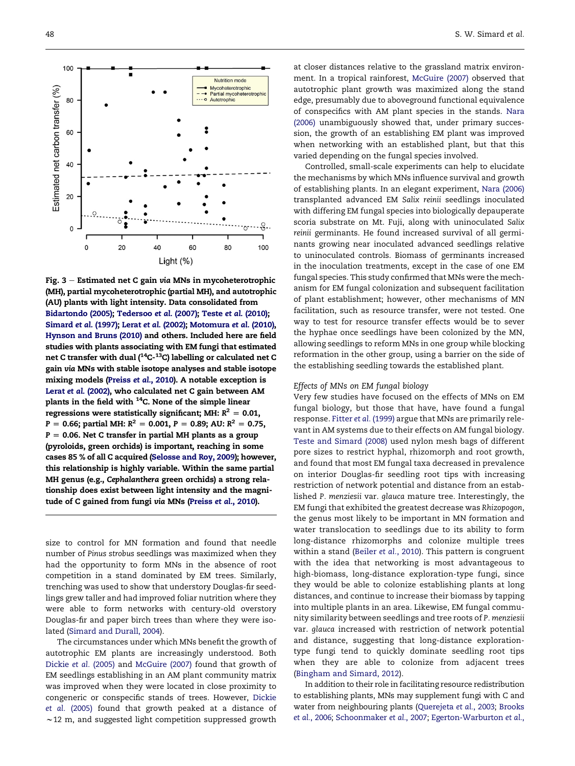Fig.  $3$  – Estimated net C gain via MNs in mycoheterotrophic (MH), partial mycoheterotrophic (partial MH), and autotrophic (AU) plants with light intensity. Data consolidated from [Bidartondo \(2005\)](#page-18-0); [Tedersoo](#page-21-0) et al. (2007); Teste et al. [\(2010\)](#page-21-0); [Simard](#page-20-0) et al. (1997); Lerat et al. [\(2002\)](#page-19-0); [Motomura](#page-20-0) et al. (2010), [Hynson and Bruns \(2010\)](#page-19-0) and others. Included here are field studies with plants associating with EM fungi that estimated net C transfer with dual  $(^{14}C^{-13}C)$  labelling or calculated net C gain via MNs with stable isotope analyses and stable isotope mixing models [\(Preiss](#page-20-0) et al., 2010). A notable exception is Lerat et al. [\(2002\),](#page-19-0) who calculated net C gain between AM plants in the field with  $14$ C. None of the simple linear regressions were statistically significant; MH:  $R^2 = 0.01$ ,  $P = 0.66$ ; partial MH:  $R^2 = 0.001$ ,  $P = 0.89$ ; AU:  $R^2 = 0.75$ ,  $P = 0.06$ . Net C transfer in partial MH plants as a group (pyroloids, green orchids) is important, reaching in some cases 85 % of all C acquired [\(Selosse and Roy, 2009](#page-20-0)); however, this relationship is highly variable. Within the same partial MH genus (e.g., Cephalanthera green orchids) a strong relationship does exist between light intensity and the magnitude of C gained from fungi via MNs (Preiss et al.[, 2010\)](#page-20-0).

size to control for MN formation and found that needle number of Pinus strobus seedlings was maximized when they had the opportunity to form MNs in the absence of root competition in a stand dominated by EM trees. Similarly, trenching was used to show that understory Douglas-fir seedlings grew taller and had improved foliar nutrition where they were able to form networks with century-old overstory Douglas-fir and paper birch trees than where they were isolated ([Simard and Durall, 2004\)](#page-20-0).

The circumstances under which MNs benefit the growth of autotrophic EM plants are increasingly understood. Both [Dickie](#page-18-0) et al. (2005) and [McGuire \(2007\)](#page-19-0) found that growth of EM seedlings establishing in an AM plant community matrix was improved when they were located in close proximity to congeneric or conspecific stands of trees. However, [Dickie](#page-18-0) et al. [\(2005\)](#page-18-0) found that growth peaked at a distance of  $\sim$ 12 m, and suggested light competition suppressed growth

at closer distances relative to the grassland matrix environment. In a tropical rainforest, [McGuire \(2007\)](#page-19-0) observed that autotrophic plant growth was maximized along the stand edge, presumably due to aboveground functional equivalence of conspecifics with AM plant species in the stands. [Nara](#page-20-0) [\(2006\)](#page-20-0) unambiguously showed that, under primary succession, the growth of an establishing EM plant was improved when networking with an established plant, but that this varied depending on the fungal species involved.

Controlled, small-scale experiments can help to elucidate the mechanisms by which MNs influence survival and growth of establishing plants. In an elegant experiment, [Nara \(2006\)](#page-20-0) transplanted advanced EM Salix reinii seedlings inoculated with differing EM fungal species into biologically depauperate scoria substrate on Mt. Fuji, along with uninoculated Salix reinii germinants. He found increased survival of all germinants growing near inoculated advanced seedlings relative to uninoculated controls. Biomass of germinants increased in the inoculation treatments, except in the case of one EM fungal species. This study confirmed that MNs were the mechanism for EM fungal colonization and subsequent facilitation of plant establishment; however, other mechanisms of MN facilitation, such as resource transfer, were not tested. One way to test for resource transfer effects would be to sever the hyphae once seedlings have been colonized by the MN, allowing seedlings to reform MNs in one group while blocking reformation in the other group, using a barrier on the side of the establishing seedling towards the established plant.

### Effects of MNs on EM fungal biology

Very few studies have focused on the effects of MNs on EM fungal biology, but those that have, have found a fungal response. Fitter et al. [\(1999\)](#page-18-0) argue that MNs are primarily relevant in AM systems due to their effects on AM fungal biology. [Teste and Simard \(2008\)](#page-21-0) used nylon mesh bags of different pore sizes to restrict hyphal, rhizomorph and root growth, and found that most EM fungal taxa decreased in prevalence on interior Douglas-fir seedling root tips with increasing restriction of network potential and distance from an established P. menziesii var. glauca mature tree. Interestingly, the EM fungi that exhibited the greatest decrease was Rhizopogon, the genus most likely to be important in MN formation and water translocation to seedlings due to its ability to form long-distance rhizomorphs and colonize multiple trees within a stand (Beiler et al.[, 2010](#page-18-0)). This pattern is congruent with the idea that networking is most advantageous to high-biomass, long-distance exploration-type fungi, since they would be able to colonize establishing plants at long distances, and continue to increase their biomass by tapping into multiple plants in an area. Likewise, EM fungal community similarity between seedlings and tree roots of P. menziesii var. glauca increased with restriction of network potential and distance, suggesting that long-distance explorationtype fungi tend to quickly dominate seedling root tips when they are able to colonize from adjacent trees ([Bingham and Simard, 2012\)](#page-18-0).

In addition to their role in facilitating resource redistribution to establishing plants, MNs may supplement fungi with C and water from neighbouring plants [\(Querejeta](#page-20-0) et al., 2003; [Brooks](#page-18-0) et al.[, 2006](#page-18-0); [Schoonmaker](#page-20-0) et al., 2007; [Egerton-Warburton](#page-18-0) et al.,

<span id="page-9-0"></span>![](_page_9_Figure_10.jpeg)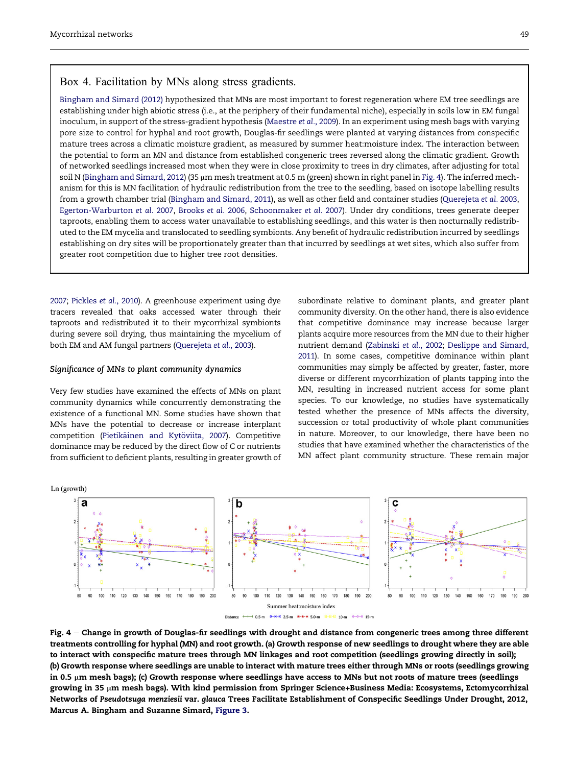[Bingham and Simard \(2012\)](#page-18-0) hypothesized that MNs are most important to forest regeneration where EM tree seedlings are establishing under high abiotic stress (i.e., at the periphery of their fundamental niche), especially in soils low in EM fungal inoculum, in support of the stress-gradient hypothesis [\(Maestre](#page-19-0) et al., 2009). In an experiment using mesh bags with varying pore size to control for hyphal and root growth, Douglas-fir seedlings were planted at varying distances from conspecific mature trees across a climatic moisture gradient, as measured by summer heat:moisture index. The interaction between the potential to form an MN and distance from established congeneric trees reversed along the climatic gradient. Growth of networked seedlings increased most when they were in close proximity to trees in dry climates, after adjusting for total soil N ([Bingham and Simard, 2012\)](#page-18-0) (35  $\mu$ m mesh treatment at 0.5 m (green) shown in right panel in Fig. 4). The inferred mechanism for this is MN facilitation of hydraulic redistribution from the tree to the seedling, based on isotope labelling results from a growth chamber trial ([Bingham and Simard, 2011\)](#page-18-0), as well as other field and container studies ([Querejeta](#page-20-0) et al. 2003, [Egerton-Warburton](#page-18-0) et al. 2007, [Brooks](#page-18-0) et al. 2006, [Schoonmaker](#page-20-0) et al. 2007). Under dry conditions, trees generate deeper taproots, enabling them to access water unavailable to establishing seedlings, and this water is then nocturnally redistributed to the EM mycelia and translocated to seedling symbionts. Any benefit of hydraulic redistribution incurred by seedlings establishing on dry sites will be proportionately greater than that incurred by seedlings at wet sites, which also suffer from greater root competition due to higher tree root densities.

[2007](#page-18-0); [Pickles](#page-20-0) et al., 2010). A greenhouse experiment using dye tracers revealed that oaks accessed water through their taproots and redistributed it to their mycorrhizal symbionts during severe soil drying, thus maintaining the mycelium of both EM and AM fungal partners [\(Querejeta](#page-20-0) et al., 2003).

### Significance of MNs to plant community dynamics

Very few studies have examined the effects of MNs on plant community dynamics while concurrently demonstrating the existence of a functional MN. Some studies have shown that MNs have the potential to decrease or increase interplant competition [\(Pietik](#page-20-0)ä[inen and Kyt](#page-20-0)ö[viita, 2007](#page-20-0)). Competitive dominance may be reduced by the direct flow of C or nutrients from sufficient to deficient plants, resulting in greater growth of

subordinate relative to dominant plants, and greater plant community diversity. On the other hand, there is also evidence that competitive dominance may increase because larger plants acquire more resources from the MN due to their higher nutrient demand [\(Zabinski](#page-21-0) et al., 2002; [Deslippe and Simard,](#page-18-0) [2011](#page-18-0)). In some cases, competitive dominance within plant communities may simply be affected by greater, faster, more diverse or different mycorrhization of plants tapping into the MN, resulting in increased nutrient access for some plant species. To our knowledge, no studies have systematically tested whether the presence of MNs affects the diversity, succession or total productivity of whole plant communities in nature. Moreover, to our knowledge, there have been no studies that have examined whether the characteristics of the MN affect plant community structure. These remain major

![](_page_10_Figure_7.jpeg)

Fig.  $4$  – Change in growth of Douglas-fir seedlings with drought and distance from congeneric trees among three different treatments controlling for hyphal (MN) and root growth. (a) Growth response of new seedlings to drought where they are able to interact with conspecific mature trees through MN linkages and root competition (seedlings growing directly in soil); (b) Growth response where seedlings are unable to interact with mature trees either through MNs or roots (seedlings growing in 0.5  $\mu$ m mesh bags); (c) Growth response where seedlings have access to MNs but not roots of mature trees (seedlings growing in 35 µm mesh bags). With kind permission from Springer Science+Business Media: Ecosystems, Ectomycorrhizal Networks of Pseudotsuga menziesii var. glauca Trees Facilitate Establishment of Conspecific Seedlings Under Drought, 2012, Marcus A. Bingham and Suzanne Simard, [Figure 3.](#page-9-0)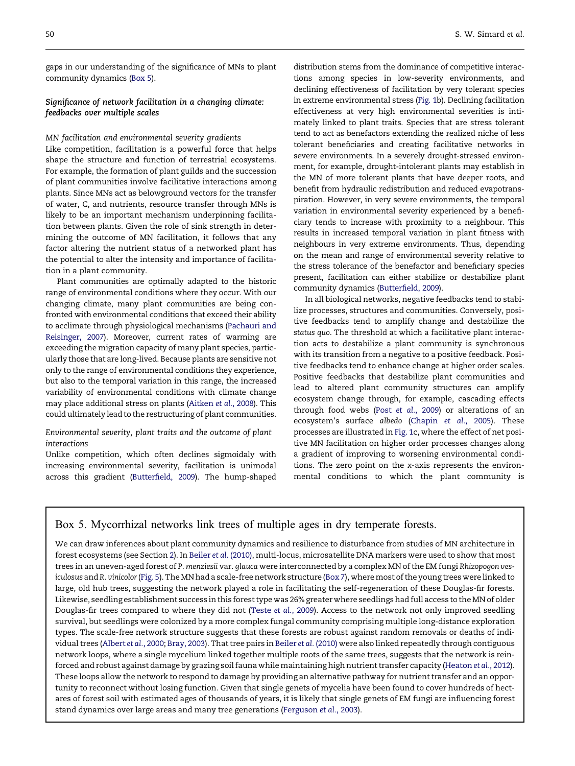gaps in our understanding of the significance of MNs to plant community dynamics (Box 5).

## Significance of network facilitation in a changing climate: feedbacks over multiple scales

### MN facilitation and environmental severity gradients

Like competition, facilitation is a powerful force that helps shape the structure and function of terrestrial ecosystems. For example, the formation of plant guilds and the succession of plant communities involve facilitative interactions among plants. Since MNs act as belowground vectors for the transfer of water, C, and nutrients, resource transfer through MNs is likely to be an important mechanism underpinning facilitation between plants. Given the role of sink strength in determining the outcome of MN facilitation, it follows that any factor altering the nutrient status of a networked plant has the potential to alter the intensity and importance of facilitation in a plant community.

Plant communities are optimally adapted to the historic range of environmental conditions where they occur. With our changing climate, many plant communities are being confronted with environmental conditions that exceed their ability to acclimate through physiological mechanisms [\(Pachauri and](#page-19-0) [Reisinger, 2007](#page-19-0)). Moreover, current rates of warming are exceeding the migration capacity of many plant species, particularly those that are long-lived. Because plants are sensitive not only to the range of environmental conditions they experience, but also to the temporal variation in this range, the increased variability of environmental conditions with climate change may place additional stress on plants ([Aitken](#page-17-0) et al., 2008). This could ultimately lead to the restructuring of plant communities.

Environmental severity, plant traits and the outcome of plant interactions

Unlike competition, which often declines sigmoidaly with increasing environmental severity, facilitation is unimodal across this gradient [\(Butterfield, 2009\)](#page-18-0). The hump-shaped

distribution stems from the dominance of competitive interactions among species in low-severity environments, and declining effectiveness of facilitation by very tolerant species in extreme environmental stress [\(Fig. 1b](#page-4-0)). Declining facilitation effectiveness at very high environmental severities is intimately linked to plant traits. Species that are stress tolerant tend to act as benefactors extending the realized niche of less tolerant beneficiaries and creating facilitative networks in severe environments. In a severely drought-stressed environment, for example, drought-intolerant plants may establish in the MN of more tolerant plants that have deeper roots, and benefit from hydraulic redistribution and reduced evapotranspiration. However, in very severe environments, the temporal variation in environmental severity experienced by a beneficiary tends to increase with proximity to a neighbour. This results in increased temporal variation in plant fitness with neighbours in very extreme environments. Thus, depending on the mean and range of environmental severity relative to the stress tolerance of the benefactor and beneficiary species present, facilitation can either stabilize or destabilize plant community dynamics [\(Butterfield, 2009\)](#page-18-0).

In all biological networks, negative feedbacks tend to stabilize processes, structures and communities. Conversely, positive feedbacks tend to amplify change and destabilize the status quo. The threshold at which a facilitative plant interaction acts to destabilize a plant community is synchronous with its transition from a negative to a positive feedback. Positive feedbacks tend to enhance change at higher order scales. Positive feedbacks that destabilize plant communities and lead to altered plant community structures can amplify ecosystem change through, for example, cascading effects through food webs (Post et al.[, 2009\)](#page-20-0) or alterations of an ecosystem's surface albedo ([Chapin](#page-18-0) et al., 2005). These processes are illustrated in [Fig. 1](#page-4-0)c, where the effect of net positive MN facilitation on higher order processes changes along a gradient of improving to worsening environmental conditions. The zero point on the x-axis represents the environmental conditions to which the plant community is

# Box 5. Mycorrhizal networks link trees of multiple ages in dry temperate forests.

We can draw inferences about plant community dynamics and resilience to disturbance from studies of MN architecture in forest ecosystems (see Section [2](#page-1-0)). In Beiler et al. [\(2010\)](#page-18-0), multi-locus, microsatellite DNA markers were used to show that most trees in an uneven-aged forest of P. menziesii var. glauca were interconnected by a complex MN of the EM fungi Rhizopogon ves-iculosus and R. vinicolor ([Fig. 5](#page-12-0)). The MN had a scale-free network structure (Box 7), where most of the young trees were linked to large, old hub trees, suggesting the network played a role in facilitating the self-regeneration of these Douglas-fir forests. Likewise, seedling establishment success in this forest type was 26% greater where seedlings had full access to the MN of older Douglas-fir trees compared to where they did not (Teste et al.[, 2009](#page-21-0)). Access to the network not only improved seedling survival, but seedlings were colonized by a more complex fungal community comprising multiple long-distance exploration types. The scale-free network structure suggests that these forests are robust against random removals or deaths of individual trees [\(Albert](#page-17-0) et al., 2000; [Bray, 2003](#page-18-0)). That tree pairs in Beiler et al. [\(2010\)](#page-18-0) were also linked repeatedly through contiguous network loops, where a single mycelium linked together multiple roots of the same trees, suggests that the network is reinforced and robust against damage by grazing soil fauna while maintaining high nutrient transfer capacity [\(Heaton](#page-19-0) et al., 2012). These loops allow the network to respond to damage by providing an alternative pathway for nutrient transfer and an opportunity to reconnect without losing function. Given that single genets of mycelia have been found to cover hundreds of hectares of forest soil with estimated ages of thousands of years, it is likely that single genets of EM fungi are influencing forest stand dynamics over large areas and many tree generations ([Ferguson](#page-18-0) et al., 2003).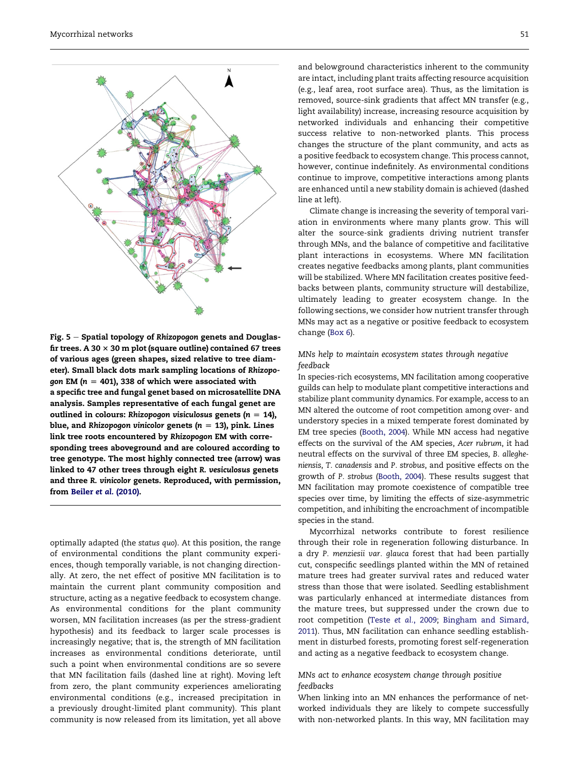<span id="page-12-0"></span>![](_page_12_Figure_1.jpeg)

Fig.  $5 -$  Spatial topology of Rhizopogon genets and Douglasfir trees. A 30  $\times$  30 m plot (square outline) contained 67 trees of various ages (green shapes, sized relative to tree diameter). Small black dots mark sampling locations of Rhizopogon EM ( $n = 401$ ), 338 of which were associated with a specific tree and fungal genet based on microsatellite DNA analysis. Samples representative of each fungal genet are outlined in colours: Rhizopogon visiculosus genets ( $n = 14$ ), blue, and Rhizopogon vinicolor genets ( $n = 13$ ), pink. Lines link tree roots encountered by Rhizopogon EM with corresponding trees aboveground and are coloured according to tree genotype. The most highly connected tree (arrow) was linked to 47 other trees through eight R. vesiculosus genets and three R. vinicolor genets. Reproduced, with permission, from Beiler et al. [\(2010\)](#page-18-0).

optimally adapted (the status quo). At this position, the range of environmental conditions the plant community experiences, though temporally variable, is not changing directionally. At zero, the net effect of positive MN facilitation is to maintain the current plant community composition and structure, acting as a negative feedback to ecosystem change. As environmental conditions for the plant community worsen, MN facilitation increases (as per the stress-gradient hypothesis) and its feedback to larger scale processes is increasingly negative; that is, the strength of MN facilitation increases as environmental conditions deteriorate, until such a point when environmental conditions are so severe that MN facilitation fails (dashed line at right). Moving left from zero, the plant community experiences ameliorating environmental conditions (e.g., increased precipitation in a previously drought-limited plant community). This plant community is now released from its limitation, yet all above and belowground characteristics inherent to the community are intact, including plant traits affecting resource acquisition (e.g., leaf area, root surface area). Thus, as the limitation is removed, source-sink gradients that affect MN transfer (e.g., light availability) increase, increasing resource acquisition by networked individuals and enhancing their competitive success relative to non-networked plants. This process changes the structure of the plant community, and acts as a positive feedback to ecosystem change. This process cannot, however, continue indefinitely. As environmental conditions continue to improve, competitive interactions among plants are enhanced until a new stability domain is achieved (dashed line at left).

Climate change is increasing the severity of temporal variation in environments where many plants grow. This will alter the source-sink gradients driving nutrient transfer through MNs, and the balance of competitive and facilitative plant interactions in ecosystems. Where MN facilitation creates negative feedbacks among plants, plant communities will be stabilized. Where MN facilitation creates positive feedbacks between plants, community structure will destabilize, ultimately leading to greater ecosystem change. In the following sections, we consider how nutrient transfer through MNs may act as a negative or positive feedback to ecosystem change (Box 6).

### MNs help to maintain ecosystem states through negative feedback

In species-rich ecosystems, MN facilitation among cooperative guilds can help to modulate plant competitive interactions and stabilize plant community dynamics. For example, access to an MN altered the outcome of root competition among over- and understory species in a mixed temperate forest dominated by EM tree species [\(Booth, 2004\)](#page-18-0). While MN access had negative effects on the survival of the AM species, Acer rubrum, it had neutral effects on the survival of three EM species, B. allegheniensis, T. canadensis and P. strobus, and positive effects on the growth of P. strobus ([Booth, 2004\)](#page-18-0). These results suggest that MN facilitation may promote coexistence of compatible tree species over time, by limiting the effects of size-asymmetric competition, and inhibiting the encroachment of incompatible species in the stand.

Mycorrhizal networks contribute to forest resilience through their role in regeneration following disturbance. In a dry P. menziesii var. glauca forest that had been partially cut, conspecific seedlings planted within the MN of retained mature trees had greater survival rates and reduced water stress than those that were isolated. Seedling establishment was particularly enhanced at intermediate distances from the mature trees, but suppressed under the crown due to root competition (Teste et al.[, 2009;](#page-21-0) [Bingham and Simard,](#page-18-0) [2011](#page-18-0)). Thus, MN facilitation can enhance seedling establishment in disturbed forests, promoting forest self-regeneration and acting as a negative feedback to ecosystem change.

## MNs act to enhance ecosystem change through positive feedbacks

When linking into an MN enhances the performance of networked individuals they are likely to compete successfully with non-networked plants. In this way, MN facilitation may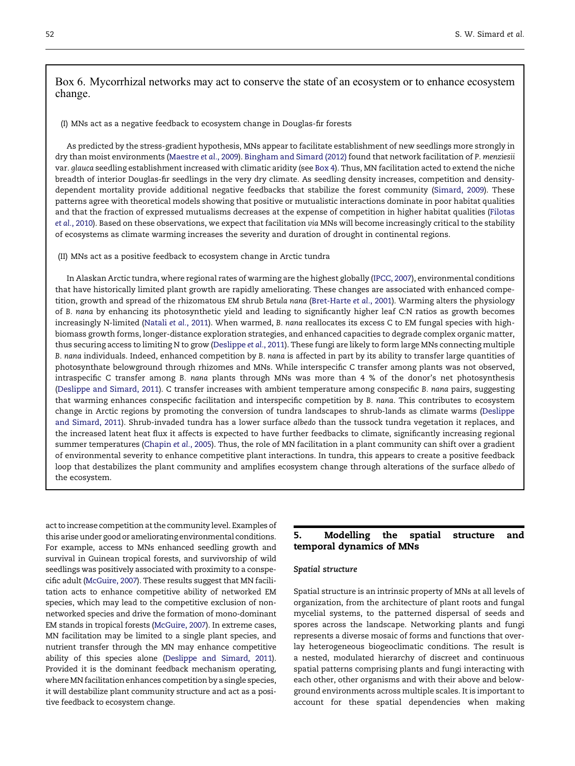<span id="page-13-0"></span>Box 6. Mycorrhizal networks may act to conserve the state of an ecosystem or to enhance ecosystem change.

(I) MNs act as a negative feedback to ecosystem change in Douglas-fir forests

As predicted by the stress-gradient hypothesis, MNs appear to facilitate establishment of new seedlings more strongly in dry than moist environments [\(Maestre](#page-19-0) et al., 2009). [Bingham and Simard \(2012\)](#page-18-0) found that network facilitation of P. menziesii var. glauca seedling establishment increased with climatic aridity (see Box 4). Thus, MN facilitation acted to extend the niche breadth of interior Douglas-fir seedlings in the very dry climate. As seedling density increases, competition and densitydependent mortality provide additional negative feedbacks that stabilize the forest community ([Simard, 2009\)](#page-20-0). These patterns agree with theoretical models showing that positive or mutualistic interactions dominate in poor habitat qualities and that the fraction of expressed mutualisms decreases at the expense of competition in higher habitat qualities ([Filotas](#page-18-0) et al.[, 2010](#page-18-0)). Based on these observations, we expect that facilitation via MNs will become increasingly critical to the stability of ecosystems as climate warming increases the severity and duration of drought in continental regions.

(II) MNs act as a positive feedback to ecosystem change in Arctic tundra

In Alaskan Arctic tundra, where regional rates of warming are the highest globally ([IPCC, 2007](#page-19-0)), environmental conditions that have historically limited plant growth are rapidly ameliorating. These changes are associated with enhanced competition, growth and spread of the rhizomatous EM shrub Betula nana ([Bret-Harte](#page-18-0) et al., 2001). Warming alters the physiology of B. nana by enhancing its photosynthetic yield and leading to significantly higher leaf C:N ratios as growth becomes increasingly N-limited ([Natali](#page-20-0) et al., 2011). When warmed, B. nana reallocates its excess C to EM fungal species with highbiomass growth forms, longer-distance exploration strategies, and enhanced capacities to degrade complex organic matter, thus securing access to limiting N to grow [\(Deslippe](#page-18-0) et al., 2011). These fungi are likely to form large MNs connecting multiple B. nana individuals. Indeed, enhanced competition by B. nana is affected in part by its ability to transfer large quantities of photosynthate belowground through rhizomes and MNs. While interspecific C transfer among plants was not observed, intraspecific C transfer among B. nana plants through MNs was more than 4 % of the donor's net photosynthesis ([Deslippe and Simard, 2011\)](#page-18-0). C transfer increases with ambient temperature among conspecific B. nana pairs, suggesting that warming enhances conspecific facilitation and interspecific competition by B. nana. This contributes to ecosystem change in Arctic regions by promoting the conversion of tundra landscapes to shrub-lands as climate warms ([Deslippe](#page-18-0) [and Simard, 2011\)](#page-18-0). Shrub-invaded tundra has a lower surface albedo than the tussock tundra vegetation it replaces, and the increased latent heat flux it affects is expected to have further feedbacks to climate, significantly increasing regional summer temperatures [\(Chapin](#page-18-0) et al., 2005). Thus, the role of MN facilitation in a plant community can shift over a gradient of environmental severity to enhance competitive plant interactions. In tundra, this appears to create a positive feedback loop that destabilizes the plant community and amplifies ecosystem change through alterations of the surface albedo of the ecosystem.

act to increase competition at the community level. Examples of this arise under good or ameliorating environmental conditions. For example, access to MNs enhanced seedling growth and survival in Guinean tropical forests, and survivorship of wild seedlings was positively associated with proximity to a conspecific adult ([McGuire, 2007\)](#page-19-0). These results suggest that MN facilitation acts to enhance competitive ability of networked EM species, which may lead to the competitive exclusion of nonnetworked species and drive the formation of mono-dominant EM stands in tropical forests ([McGuire, 2007](#page-19-0)). In extreme cases, MN facilitation may be limited to a single plant species, and nutrient transfer through the MN may enhance competitive ability of this species alone [\(Deslippe and Simard, 2011\)](#page-18-0). Provided it is the dominant feedback mechanism operating, where MN facilitation enhances competition by a single species, it will destabilize plant community structure and act as a positive feedback to ecosystem change.

# 5. Modelling the spatial structure and temporal dynamics of MNs

### Spatial structure

Spatial structure is an intrinsic property of MNs at all levels of organization, from the architecture of plant roots and fungal mycelial systems, to the patterned dispersal of seeds and spores across the landscape. Networking plants and fungi represents a diverse mosaic of forms and functions that overlay heterogeneous biogeoclimatic conditions. The result is a nested, modulated hierarchy of discreet and continuous spatial patterns comprising plants and fungi interacting with each other, other organisms and with their above and belowground environments across multiple scales. It is important to account for these spatial dependencies when making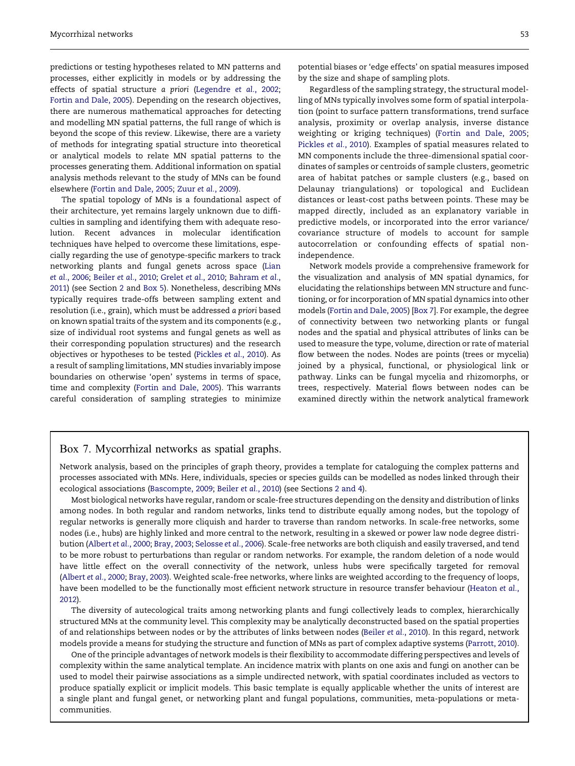predictions or testing hypotheses related to MN patterns and processes, either explicitly in models or by addressing the effects of spatial structure a priori [\(Legendre](#page-19-0) et al., 2002; [Fortin and Dale, 2005\)](#page-18-0). Depending on the research objectives, there are numerous mathematical approaches for detecting and modelling MN spatial patterns, the full range of which is beyond the scope of this review. Likewise, there are a variety of methods for integrating spatial structure into theoretical or analytical models to relate MN spatial patterns to the processes generating them. Additional information on spatial analysis methods relevant to the study of MNs can be found elsewhere [\(Fortin and Dale, 2005;](#page-18-0) Zuur et al.[, 2009\)](#page-21-0).

The spatial topology of MNs is a foundational aspect of their architecture, yet remains largely unknown due to difficulties in sampling and identifying them with adequate resolution. Recent advances in molecular identification techniques have helped to overcome these limitations, especially regarding the use of genotype-specific markers to track networking plants and fungal genets across space [\(Lian](#page-19-0) et al.[, 2006](#page-19-0); Beiler et al.[, 2010;](#page-18-0) [Grelet](#page-19-0) et al., 2010; [Bahram](#page-18-0) et al., [2011](#page-18-0)) (see Section [2](#page-1-0) and Box 5). Nonetheless, describing MNs typically requires trade-offs between sampling extent and resolution (i.e., grain), which must be addressed a priori based on known spatial traits of the system and its components (e.g., size of individual root systems and fungal genets as well as their corresponding population structures) and the research objectives or hypotheses to be tested [\(Pickles](#page-20-0) et al., 2010). As a result of sampling limitations, MN studies invariably impose boundaries on otherwise 'open' systems in terms of space, time and complexity [\(Fortin and Dale, 2005\)](#page-18-0). This warrants careful consideration of sampling strategies to minimize

potential biases or 'edge effects' on spatial measures imposed by the size and shape of sampling plots.

Regardless of the sampling strategy, the structural modelling of MNs typically involves some form of spatial interpolation (point to surface pattern transformations, trend surface analysis, proximity or overlap analysis, inverse distance weighting or kriging techniques) ([Fortin and Dale, 2005;](#page-18-0) [Pickles](#page-20-0) et al., 2010). Examples of spatial measures related to MN components include the three-dimensional spatial coordinates of samples or centroids of sample clusters, geometric area of habitat patches or sample clusters (e.g., based on Delaunay triangulations) or topological and Euclidean distances or least-cost paths between points. These may be mapped directly, included as an explanatory variable in predictive models, or incorporated into the error variance/ covariance structure of models to account for sample autocorrelation or confounding effects of spatial nonindependence.

Network models provide a comprehensive framework for the visualization and analysis of MN spatial dynamics, for elucidating the relationships between MN structure and functioning, or for incorporation of MN spatial dynamics into other models ([Fortin and Dale, 2005](#page-18-0)) [Box 7]. For example, the degree of connectivity between two networking plants or fungal nodes and the spatial and physical attributes of links can be used to measure the type, volume, direction or rate of material flow between the nodes. Nodes are points (trees or mycelia) joined by a physical, functional, or physiological link or pathway. Links can be fungal mycelia and rhizomorphs, or trees, respectively. Material flows between nodes can be examined directly within the network analytical framework

# Box 7. Mycorrhizal networks as spatial graphs.

Network analysis, based on the principles of graph theory, provides a template for cataloguing the complex patterns and processes associated with MNs. Here, individuals, species or species guilds can be modelled as nodes linked through their ecological associations ([Bascompte, 2009](#page-18-0); [Beiler](#page-18-0) et al., 2010) (see Sections [2 and 4](#page-1-0)).

Most biological networks have regular, random or scale-free structures depending on the density and distribution of links among nodes. In both regular and random networks, links tend to distribute equally among nodes, but the topology of regular networks is generally more cliquish and harder to traverse than random networks. In scale-free networks, some nodes (i.e., hubs) are highly linked and more central to the network, resulting in a skewed or power law node degree distribution [\(Albert](#page-17-0) et al., 2000; [Bray, 2003](#page-18-0); [Selosse](#page-20-0) et al., 2006). Scale-free networks are both cliquish and easily traversed, and tend to be more robust to perturbations than regular or random networks. For example, the random deletion of a node would have little effect on the overall connectivity of the network, unless hubs were specifically targeted for removal [\(Albert](#page-17-0) et al., 2000; [Bray, 2003\)](#page-18-0). Weighted scale-free networks, where links are weighted according to the frequency of loops, have been modelled to be the functionally most efficient network structure in resource transfer behaviour ([Heaton](#page-19-0) et al., [2012](#page-19-0)).

The diversity of autecological traits among networking plants and fungi collectively leads to complex, hierarchically structured MNs at the community level. This complexity may be analytically deconstructed based on the spatial properties of and relationships between nodes or by the attributes of links between nodes (Beiler et al.[, 2010](#page-18-0)). In this regard, network models provide a means for studying the structure and function of MNs as part of complex adaptive systems ([Parrott, 2010](#page-20-0)).

One of the principle advantages of network models is their flexibility to accommodate differing perspectives and levels of complexity within the same analytical template. An incidence matrix with plants on one axis and fungi on another can be used to model their pairwise associations as a simple undirected network, with spatial coordinates included as vectors to produce spatially explicit or implicit models. This basic template is equally applicable whether the units of interest are a single plant and fungal genet, or networking plant and fungal populations, communities, meta-populations or metacommunities.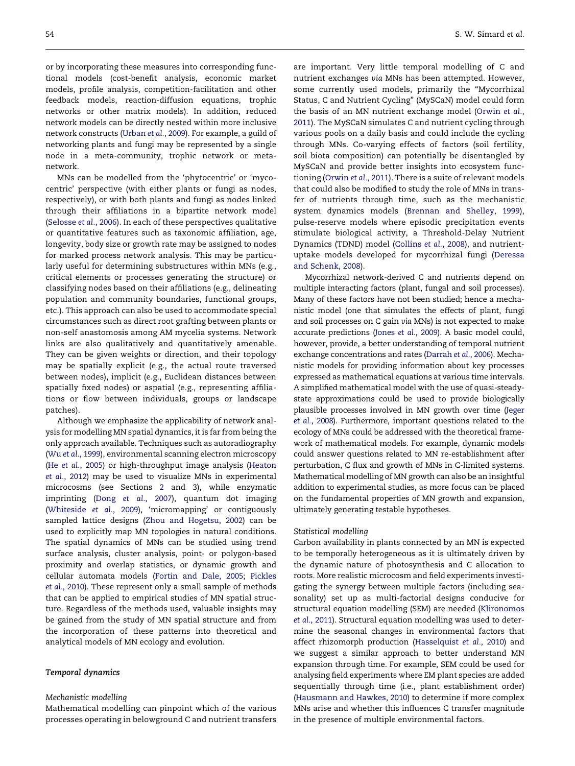or by incorporating these measures into corresponding functional models (cost-benefit analysis, economic market models, profile analysis, competition-facilitation and other feedback models, reaction-diffusion equations, trophic networks or other matrix models). In addition, reduced network models can be directly nested within more inclusive network constructs [\(Urban](#page-21-0) et al., 2009). For example, a guild of networking plants and fungi may be represented by a single node in a meta-community, trophic network or metanetwork.

MNs can be modelled from the 'phytocentric' or 'mycocentric' perspective (with either plants or fungi as nodes, respectively), or with both plants and fungi as nodes linked through their affiliations in a bipartite network model ([Selosse](#page-20-0) et al., 2006). In each of these perspectives qualitative or quantitative features such as taxonomic affiliation, age, longevity, body size or growth rate may be assigned to nodes for marked process network analysis. This may be particularly useful for determining substructures within MNs (e.g., critical elements or processes generating the structure) or classifying nodes based on their affiliations (e.g., delineating population and community boundaries, functional groups, etc.). This approach can also be used to accommodate special circumstances such as direct root grafting between plants or non-self anastomosis among AM mycelia systems. Network links are also qualitatively and quantitatively amenable. They can be given weights or direction, and their topology may be spatially explicit (e.g., the actual route traversed between nodes), implicit (e.g., Euclidean distances between spatially fixed nodes) or aspatial (e.g., representing affiliations or flow between individuals, groups or landscape patches).

Although we emphasize the applicability of network analysis for modelling MN spatial dynamics, it is far from being the only approach available. Techniques such as autoradiography (Wu et al.[, 1999](#page-21-0)), environmental scanning electron microscopy (He et al.[, 2005](#page-19-0)) or high-throughput image analysis [\(Heaton](#page-19-0) et al.[, 2012\)](#page-19-0) may be used to visualize MNs in experimental microcosms (see Sections [2](#page-1-0) and 3), while enzymatic imprinting (Dong et al.[, 2007](#page-18-0)), quantum dot imaging ([Whiteside](#page-21-0) et al., 2009), 'micromapping' or contiguously sampled lattice designs ([Zhou and Hogetsu, 2002](#page-21-0)) can be used to explicitly map MN topologies in natural conditions. The spatial dynamics of MNs can be studied using trend surface analysis, cluster analysis, point- or polygon-based proximity and overlap statistics, or dynamic growth and cellular automata models ([Fortin and Dale, 2005](#page-18-0); [Pickles](#page-20-0) et al.[, 2010](#page-20-0)). These represent only a small sample of methods that can be applied to empirical studies of MN spatial structure. Regardless of the methods used, valuable insights may be gained from the study of MN spatial structure and from the incorporation of these patterns into theoretical and analytical models of MN ecology and evolution.

#### Temporal dynamics

### Mechanistic modelling

Mathematical modelling can pinpoint which of the various processes operating in belowground C and nutrient transfers are important. Very little temporal modelling of C and nutrient exchanges via MNs has been attempted. However, some currently used models, primarily the "Mycorrhizal Status, C and Nutrient Cycling" (MySCaN) model could form the basis of an MN nutrient exchange model [\(Orwin](#page-20-0) et al., [2011](#page-20-0)). The MySCaN simulates C and nutrient cycling through various pools on a daily basis and could include the cycling through MNs. Co-varying effects of factors (soil fertility, soil biota composition) can potentially be disentangled by MySCaN and provide better insights into ecosystem functioning ([Orwin](#page-20-0) et al., 2011). There is a suite of relevant models that could also be modified to study the role of MNs in transfer of nutrients through time, such as the mechanistic system dynamics models ([Brennan and Shelley, 1999\)](#page-18-0), pulse-reserve models where episodic precipitation events stimulate biological activity, a Threshold-Delay Nutrient Dynamics (TDND) model [\(Collins](#page-18-0) et al., 2008), and nutrientuptake models developed for mycorrhizal fungi [\(Deressa](#page-18-0) [and Schenk, 2008](#page-18-0)).

Mycorrhizal network-derived C and nutrients depend on multiple interacting factors (plant, fungal and soil processes). Many of these factors have not been studied; hence a mechanistic model (one that simulates the effects of plant, fungi and soil processes on C gain via MNs) is not expected to make accurate predictions (Jones et al.[, 2009](#page-19-0)). A basic model could, however, provide, a better understanding of temporal nutrient exchange concentrations and rates ([Darrah](#page-18-0) et al., 2006). Mechanistic models for providing information about key processes expressed as mathematical equations at various time intervals. A simplified mathematical model with the use of quasi-steadystate approximations could be used to provide biologically plausible processes involved in MN growth over time ([Jeger](#page-19-0) et al.[, 2008](#page-19-0)). Furthermore, important questions related to the ecology of MNs could be addressed with the theoretical framework of mathematical models. For example, dynamic models could answer questions related to MN re-establishment after perturbation, C flux and growth of MNs in C-limited systems. Mathematical modelling of MN growth can also be an insightful addition to experimental studies, as more focus can be placed on the fundamental properties of MN growth and expansion, ultimately generating testable hypotheses.

#### Statistical modelling

Carbon availability in plants connected by an MN is expected to be temporally heterogeneous as it is ultimately driven by the dynamic nature of photosynthesis and C allocation to roots. More realistic microcosm and field experiments investigating the synergy between multiple factors (including seasonality) set up as multi-factorial designs conducive for structural equation modelling (SEM) are needed [\(Klironomos](#page-19-0) et al.[, 2011](#page-19-0)). Structural equation modelling was used to determine the seasonal changes in environmental factors that affect rhizomorph production [\(Hasselquist](#page-19-0) et al., 2010) and we suggest a similar approach to better understand MN expansion through time. For example, SEM could be used for analysing field experiments where EM plant species are added sequentially through time (i.e., plant establishment order) ([Hausmann and Hawkes, 2010](#page-19-0)) to determine if more complex MNs arise and whether this influences C transfer magnitude in the presence of multiple environmental factors.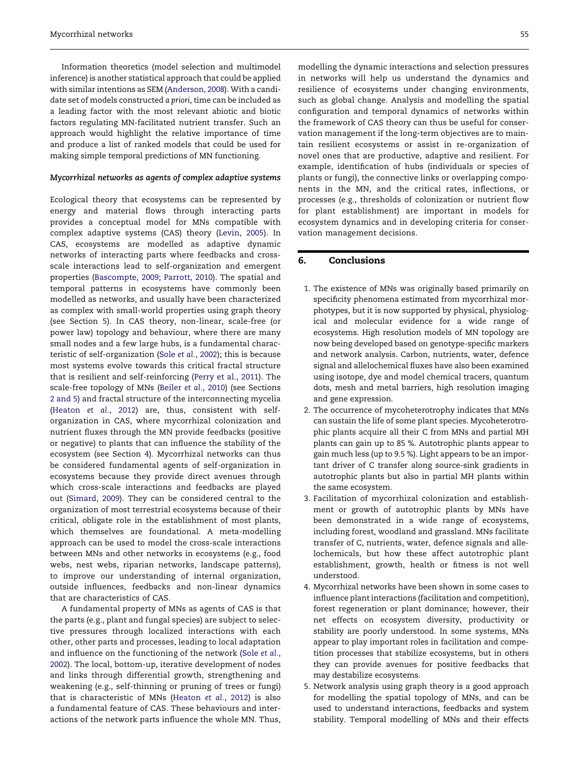Information theoretics (model selection and multimodel inference) is another statistical approach that could be applied with similar intentions as SEM [\(Anderson, 2008\)](#page-18-0). With a candidate set of models constructed a priori, time can be included as a leading factor with the most relevant abiotic and biotic factors regulating MN-facilitated nutrient transfer. Such an approach would highlight the relative importance of time and produce a list of ranked models that could be used for making simple temporal predictions of MN functioning.

### Mycorrhizal networks as agents of complex adaptive systems

Ecological theory that ecosystems can be represented by energy and material flows through interacting parts provides a conceptual model for MNs compatible with complex adaptive systems (CAS) theory ([Levin, 2005](#page-19-0)). In CAS, ecosystems are modelled as adaptive dynamic networks of interacting parts where feedbacks and crossscale interactions lead to self-organization and emergent properties ([Bascompte, 2009;](#page-18-0) [Parrott, 2010](#page-20-0)). The spatial and temporal patterns in ecosystems have commonly been modelled as networks, and usually have been characterized as complex with small-world properties using graph theory (see Section [5\)](#page-13-0). In CAS theory, non-linear, scale-free (or power law) topology and behaviour, where there are many small nodes and a few large hubs, is a fundamental characteristic of self-organization (Sole et al.[, 2002](#page-21-0)); this is because most systems evolve towards this critical fractal structure that is resilient and self-reinforcing [\(Perry et al., 2011\)](#page-20-0). The scale-free topology of MNs (Beiler et al.[, 2010](#page-18-0)) (see Sections [2 and 5](#page-1-0)) and fractal structure of the interconnecting mycelia [\(Heaton](#page-19-0) et al., 2012) are, thus, consistent with selforganization in CAS, where mycorrhizal colonization and nutrient fluxes through the MN provide feedbacks (positive or negative) to plants that can influence the stability of the ecosystem (see Section [4](#page-7-0)). Mycorrhizal networks can thus be considered fundamental agents of self-organization in ecosystems because they provide direct avenues through which cross-scale interactions and feedbacks are played out [\(Simard, 2009\)](#page-20-0). They can be considered central to the organization of most terrestrial ecosystems because of their critical, obligate role in the establishment of most plants, which themselves are foundational. A meta-modelling approach can be used to model the cross-scale interactions between MNs and other networks in ecosystems (e.g., food webs, nest webs, riparian networks, landscape patterns), to improve our understanding of internal organization, outside influences, feedbacks and non-linear dynamics that are characteristics of CAS.

A fundamental property of MNs as agents of CAS is that the parts (e.g., plant and fungal species) are subject to selective pressures through localized interactions with each other, other parts and processes, leading to local adaptation and influence on the functioning of the network (Sole [et al.](#page-21-0), [2002\)](#page-21-0). The local, bottom-up, iterative development of nodes and links through differential growth, strengthening and weakening (e.g., self-thinning or pruning of trees or fungi) that is characteristic of MNs [\(Heaton](#page-19-0) et al., 2012) is also a fundamental feature of CAS. These behaviours and interactions of the network parts influence the whole MN. Thus,

modelling the dynamic interactions and selection pressures in networks will help us understand the dynamics and resilience of ecosystems under changing environments, such as global change. Analysis and modelling the spatial configuration and temporal dynamics of networks within the framework of CAS theory can thus be useful for conservation management if the long-term objectives are to maintain resilient ecosystems or assist in re-organization of novel ones that are productive, adaptive and resilient. For example, identification of hubs (individuals or species of plants or fungi), the connective links or overlapping components in the MN, and the critical rates, inflections, or processes (e.g., thresholds of colonization or nutrient flow for plant establishment) are important in models for ecosystem dynamics and in developing criteria for conservation management decisions.

# 6. Conclusions

- 1. The existence of MNs was originally based primarily on specificity phenomena estimated from mycorrhizal morphotypes, but it is now supported by physical, physiological and molecular evidence for a wide range of ecosystems. High resolution models of MN topology are now being developed based on genotype-specific markers and network analysis. Carbon, nutrients, water, defence signal and allelochemical fluxes have also been examined using isotope, dye and model chemical tracers, quantum dots, mesh and metal barriers, high resolution imaging and gene expression.
- 2. The occurrence of mycoheterotrophy indicates that MNs can sustain the life of some plant species. Mycoheterotrophic plants acquire all their C from MNs and partial MH plants can gain up to 85 %. Autotrophic plants appear to gain much less (up to 9.5 %). Light appears to be an important driver of C transfer along source-sink gradients in autotrophic plants but also in partial MH plants within the same ecosystem.
- 3. Facilitation of mycorrhizal colonization and establishment or growth of autotrophic plants by MNs have been demonstrated in a wide range of ecosystems, including forest, woodland and grassland. MNs facilitate transfer of C, nutrients, water, defence signals and allelochemicals, but how these affect autotrophic plant establishment, growth, health or fitness is not well understood.
- 4. Mycorrhizal networks have been shown in some cases to influence plant interactions (facilitation and competition), forest regeneration or plant dominance; however, their net effects on ecosystem diversity, productivity or stability are poorly understood. In some systems, MNs appear to play important roles in facilitation and competition processes that stabilize ecosystems, but in others they can provide avenues for positive feedbacks that may destabilize ecosystems.
- 5. Network analysis using graph theory is a good approach for modelling the spatial topology of MNs, and can be used to understand interactions, feedbacks and system stability. Temporal modelling of MNs and their effects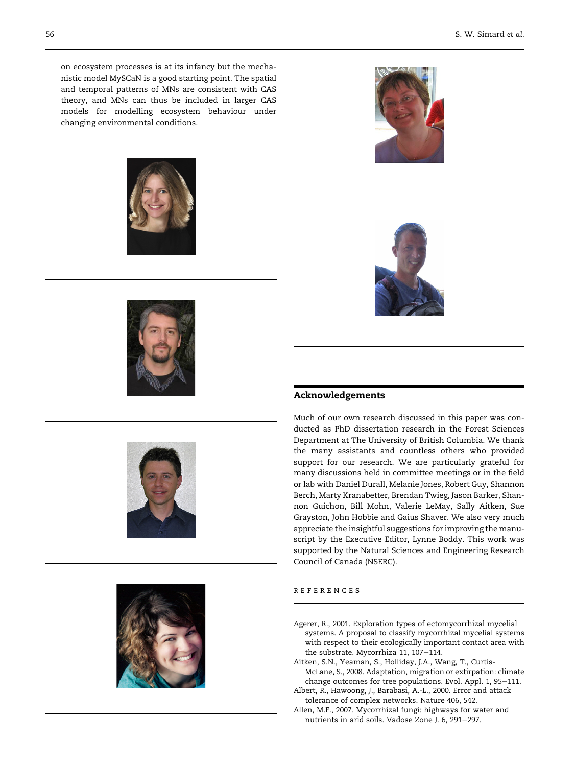<span id="page-17-0"></span>on ecosystem processes is at its infancy but the mechanistic model MySCaN is a good starting point. The spatial and temporal patterns of MNs are consistent with CAS theory, and MNs can thus be included in larger CAS models for modelling ecosystem behaviour under changing environmental conditions.

![](_page_17_Picture_2.jpeg)

![](_page_17_Picture_3.jpeg)

![](_page_17_Picture_4.jpeg)

![](_page_17_Picture_5.jpeg)

![](_page_17_Picture_6.jpeg)

![](_page_17_Picture_7.jpeg)

## Acknowledgements

Much of our own research discussed in this paper was conducted as PhD dissertation research in the Forest Sciences Department at The University of British Columbia. We thank the many assistants and countless others who provided support for our research. We are particularly grateful for many discussions held in committee meetings or in the field or lab with Daniel Durall, Melanie Jones, Robert Guy, Shannon Berch, Marty Kranabetter, Brendan Twieg, Jason Barker, Shannon Guichon, Bill Mohn, Valerie LeMay, Sally Aitken, Sue Grayston, John Hobbie and Gaius Shaver. We also very much appreciate the insightful suggestions for improving the manuscript by the Executive Editor, Lynne Boddy. This work was supported by the Natural Sciences and Engineering Research Council of Canada (NSERC).

### references

- Agerer, R., 2001. Exploration types of ectomycorrhizal mycelial systems. A proposal to classify mycorrhizal mycelial systems with respect to their ecologically important contact area with the substrate. Mycorrhiza 11, 107-114.
- Aitken, S.N., Yeaman, S., Holliday, J.A., Wang, T., Curtis-McLane, S., 2008. Adaptation, migration or extirpation: climate change outcomes for tree populations. Evol. Appl. 1, 95-111.
- Albert, R., Hawoong, J., Barabasi, A.-L., 2000. Error and attack tolerance of complex networks. Nature 406, 542.
- Allen, M.F., 2007. Mycorrhizal fungi: highways for water and nutrients in arid soils. Vadose Zone J. 6, 291-297.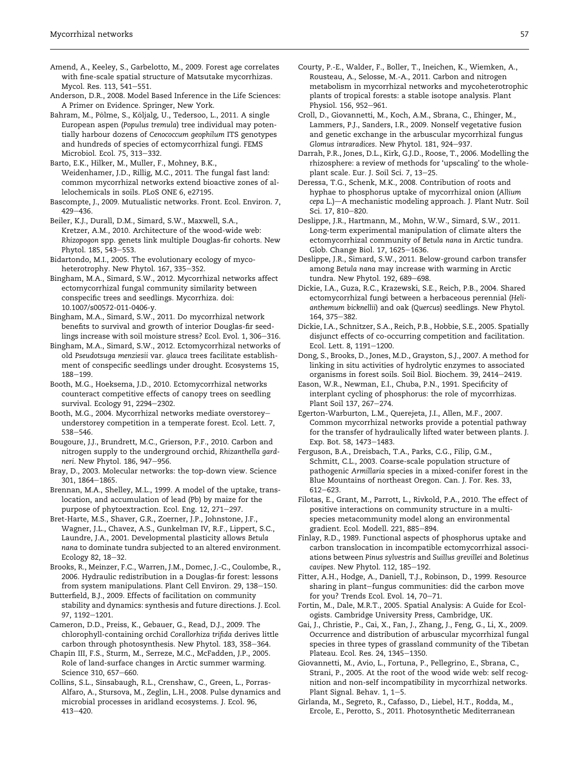- <span id="page-18-0"></span>Amend, A., Keeley, S., Garbelotto, M., 2009. Forest age correlates with fine-scale spatial structure of Matsutake mycorrhizas. Mycol. Res. 113, 541-551.
- Anderson, D.R., 2008. Model Based Inference in the Life Sciences: A Primer on Evidence. Springer, New York.

Bahram, M., Põlme, S., Kõljalg, U., Tedersoo, L., 2011. A single European aspen (Populus tremula) tree individual may potentially harbour dozens of Cenococcum geophilum ITS genotypes and hundreds of species of ectomycorrhizal fungi. FEMS Microbiol. Ecol. 75, 313-332.

- Barto, E.K., Hilker, M., Muller, F., Mohney, B.K., Weidenhamer, J.D., Rillig, M.C., 2011. The fungal fast land: common mycorrhizal networks extend bioactive zones of allelochemicals in soils. PLoS ONE 6, e27195.
- Bascompte, J., 2009. Mutualistic networks. Front. Ecol. Environ. 7, 429-436.

Beiler, K.J., Durall, D.M., Simard, S.W., Maxwell, S.A., Kretzer, A.M., 2010. Architecture of the wood-wide web: Rhizopogon spp. genets link multiple Douglas-fir cohorts. New Phytol. 185, 543-553.

Bidartondo, M.I., 2005. The evolutionary ecology of mycoheterotrophy. New Phytol. 167, 335-352.

Bingham, M.A., Simard, S.W., 2012. Mycorrhizal networks affect ectomycorrhizal fungal community similarity between conspecific trees and seedlings. Mycorrhiza. doi: 10.1007/s00572-011-0406-y.

- Bingham, M.A., Simard, S.W., 2011. Do mycorrhizal network benefits to survival and growth of interior Douglas-fir seedlings increase with soil moisture stress? Ecol. Evol. 1, 306-316.
- Bingham, M.A., Simard, S.W., 2012. Ectomycorrhizal networks of old Pseudotsuga menziesii var. glauca trees facilitate establishment of conspecific seedlings under drought. Ecosystems 15, 188-199.

Booth, M.G., Hoeksema, J.D., 2010. Ectomycorrhizal networks counteract competitive effects of canopy trees on seedling survival. Ecology 91, 2294-2302.

Booth, M.G., 2004. Mycorrhizal networks mediate overstoreyunderstorey competition in a temperate forest. Ecol. Lett. 7, 538-546

Bougoure, J.J., Brundrett, M.C., Grierson, P.F., 2010. Carbon and nitrogen supply to the underground orchid, Rhizanthella gardneri. New Phytol. 186, 947-956.

Bray, D., 2003. Molecular networks: the top-down view. Science 301, 1864-1865.

Brennan, M.A., Shelley, M.L., 1999. A model of the uptake, translocation, and accumulation of lead (Pb) by maize for the purpose of phytoextraction. Ecol. Eng. 12, 271-297

Bret-Harte, M.S., Shaver, G.R., Zoerner, J.P., Johnstone, J.F., Wagner, J.L., Chavez, A.S., Gunkelman IV, R.F., Lippert, S.C., Laundre, J.A., 2001. Developmental plasticity allows Betula nana to dominate tundra subjected to an altered environment. Ecology 82, 18-32.

Brooks, R., Meinzer, F.C., Warren, J.M., Domec, J.-C., Coulombe, R., 2006. Hydraulic redistribution in a Douglas-fir forest: lessons from system manipulations. Plant Cell Environ. 29, 138-150.

Butterfield, B.J., 2009. Effects of facilitation on community stability and dynamics: synthesis and future directions. J. Ecol. 97, 1192-1201.

Cameron, D.D., Preiss, K., Gebauer, G., Read, D.J., 2009. The chlorophyll-containing orchid Corallorhiza trifida derives little carbon through photosynthesis. New Phytol. 183, 358-364.

Chapin III, F.S., Sturm, M., Serreze, M.C., McFadden, J.P., 2005. Role of land-surface changes in Arctic summer warming. Science 310, 657-660.

Collins, S.L., Sinsabaugh, R.L., Crenshaw, C., Green, L., Porras-Alfaro, A., Stursova, M., Zeglin, L.H., 2008. Pulse dynamics and microbial processes in aridland ecosystems. J. Ecol. 96, 413-420.

Courty, P.-E., Walder, F., Boller, T., Ineichen, K., Wiemken, A., Rousteau, A., Selosse, M.-A., 2011. Carbon and nitrogen metabolism in mycorrhizal networks and mycoheterotrophic plants of tropical forests: a stable isotope analysis. Plant Physiol. 156, 952-961.

Croll, D., Giovannetti, M., Koch, A.M., Sbrana, C., Ehinger, M., Lammers, P.J., Sanders, I.R., 2009. Nonself vegetative fusion and genetic exchange in the arbuscular mycorrhizal fungus Glomus intraradices. New Phytol. 181, 924-937.

Darrah, P.R., Jones, D.L., Kirk, G.J.D., Roose, T., 2006. Modelling the rhizosphere: a review of methods for 'upscaling' to the wholeplant scale. Eur. J. Soil Sci. 7, 13-25.

Deressa, T.G., Schenk, M.K., 2008. Contribution of roots and hyphae to phosphorus uptake of mycorrhizal onion (Allium cepa L.)-A mechanistic modeling approach. J. Plant Nutr. Soil Sci. 17, 810-820.

Deslippe, J.R., Hartmann, M., Mohn, W.W., Simard, S.W., 2011. Long-term experimental manipulation of climate alters the ectomycorrhizal community of Betula nana in Arctic tundra. Glob. Change Biol. 17, 1625-1636.

Deslippe, J.R., Simard, S.W., 2011. Below-ground carbon transfer among Betula nana may increase with warming in Arctic tundra. New Phytol. 192, 689-698.

Dickie, I.A., Guza, R.C., Krazewski, S.E., Reich, P.B., 2004. Shared ectomycorrhizal fungi between a herbaceous perennial (Helianthemum bicknellii) and oak (Quercus) seedlings. New Phytol. 164, 375-382

Dickie, I.A., Schnitzer, S.A., Reich, P.B., Hobbie, S.E., 2005. Spatially disjunct effects of co-occurring competition and facilitation. Ecol. Lett. 8, 1191-1200.

Dong, S., Brooks, D., Jones, M.D., Grayston, S.J., 2007. A method for linking in situ activities of hydrolytic enzymes to associated organisms in forest soils. Soil Biol. Biochem. 39, 2414-2419.

Eason, W.R., Newman, E.I., Chuba, P.N., 1991. Specificity of interplant cycling of phosphorus: the role of mycorrhizas. Plant Soil 137, 267-274.

Egerton-Warburton, L.M., Querejeta, J.I., Allen, M.F., 2007. Common mycorrhizal networks provide a potential pathway for the transfer of hydraulically lifted water between plants. J. Exp. Bot. 58, 1473-1483.

Ferguson, B.A., Dreisbach, T.A., Parks, C.G., Filip, G.M., Schmitt, C.L., 2003. Coarse-scale population structure of pathogenic Armillaria species in a mixed-conifer forest in the Blue Mountains of northeast Oregon. Can. J. For. Res. 33,  $612 - 623$ 

Filotas, E., Grant, M., Parrott, L., Rivkold, P.A., 2010. The effect of positive interactions on community structure in a multispecies metacommunity model along an environmental gradient. Ecol. Modell. 221, 885-894.

Finlay, R.D., 1989. Functional aspects of phosphorus uptake and carbon translocation in incompatible ectomycorrhizal associations between Pinus sylvestris and Suillus grevillei and Boletinus cavipes. New Phytol. 112, 185-192.

Fitter, A.H., Hodge, A., Daniell, T.J., Robinson, D., 1999. Resource sharing in plant-fungus communities: did the carbon move for you? Trends Ecol. Evol. 14, 70-71.

Fortin, M., Dale, M.R.T., 2005. Spatial Analysis: A Guide for Ecologists. Cambridge University Press, Cambridge, UK.

Gai, J., Christie, P., Cai, X., Fan, J., Zhang, J., Feng, G., Li, X., 2009. Occurrence and distribution of arbuscular mycorrhizal fungal species in three types of grassland community of the Tibetan Plateau. Ecol. Res. 24, 1345-1350.

Giovannetti, M., Avio, L., Fortuna, P., Pellegrino, E., Sbrana, C., Strani, P., 2005. At the root of the wood wide web: self recognition and non-self incompatibility in mycorrhizal networks. Plant Signal. Behav. 1, 1-5.

Girlanda, M., Segreto, R., Cafasso, D., Liebel, H.T., Rodda, M., Ercole, E., Perotto, S., 2011. Photosynthetic Mediterranean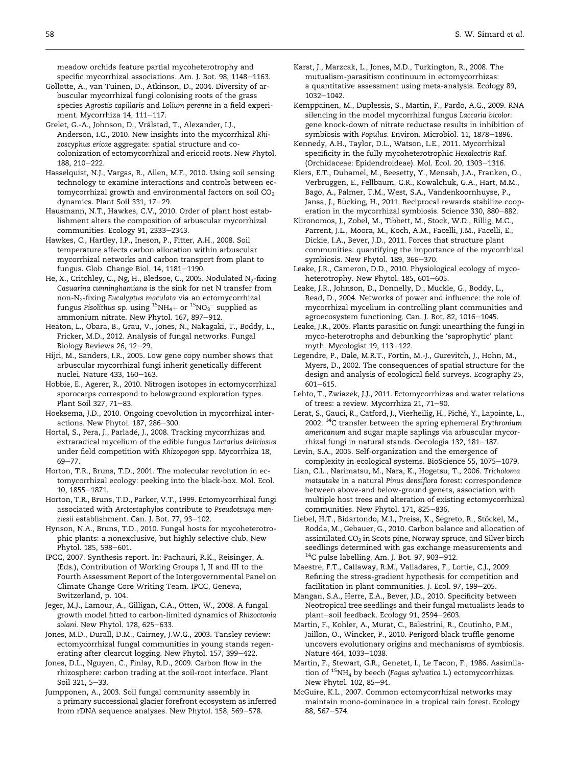<span id="page-19-0"></span>meadow orchids feature partial mycoheterotrophy and specific mycorrhizal associations. Am. J. Bot. 98, 1148-1163.

- Gollotte, A., van Tuinen, D., Atkinson, D., 2004. Diversity of arbuscular mycorrhizal fungi colonising roots of the grass species Agrostis capillaris and Lolium perenne in a field experiment. Mycorrhiza 14, 111-117.
- Grelet, G.-A., Johnson, D., Vrålstad, T., Alexander, I.J., Anderson, I.C., 2010. New insights into the mycorrhizal Rhizoscyphus ericae aggregate: spatial structure and cocolonization of ectomycorrhizal and ericoid roots. New Phytol. 188, 210-222.
- Hasselquist, N.J., Vargas, R., Allen, M.F., 2010. Using soil sensing technology to examine interactions and controls between ectomycorrhizal growth and environmental factors on soil  $CO<sub>2</sub>$ dynamics. Plant Soil 331,  $17-29$ .
- Hausmann, N.T., Hawkes, C.V., 2010. Order of plant host establishment alters the composition of arbuscular mycorrhizal communities. Ecology 91, 2333-2343.
- Hawkes, C., Hartley, I.P., Ineson, P., Fitter, A.H., 2008. Soil temperature affects carbon allocation within arbuscular mycorrhizal networks and carbon transport from plant to fungus. Glob. Change Biol. 14, 1181-1190.
- He, X., Critchley, C., Ng, H., Bledsoe, C., 2005. Nodulated  $N_2$ -fixing Casuarina cunninghamiana is the sink for net N transfer from non-N2-fixing Eucalyptus maculata via an ectomycorrhizal fungus Pisolithus sp. using  ${}^{15}NH_4+$  or  ${}^{15}NO_3^-$  supplied as ammonium nitrate. New Phytol. 167, 897-912.
- Heaton, L., Obara, B., Grau, V., Jones, N., Nakagaki, T., Boddy, L., Fricker, M.D., 2012. Analysis of fungal networks. Fungal Biology Reviews 26, 12-29.
- Hijri, M., Sanders, I.R., 2005. Low gene copy number shows that arbuscular mycorrhizal fungi inherit genetically different nuclei. Nature 433, 160-163.
- Hobbie, E., Agerer, R., 2010. Nitrogen isotopes in ectomycorrhizal sporocarps correspond to belowground exploration types. Plant Soil 327, 71-83.
- Hoeksema, J.D., 2010. Ongoing coevolution in mycorrhizal interactions. New Phytol. 187, 286-300.
- Hortal, S., Pera, J., Parlade, J., 2008. Tracking mycorrhizas and extraradical mycelium of the edible fungus Lactarius deliciosus under field competition with Rhizopogon spp. Mycorrhiza 18,  $69 - 77$ .
- Horton, T.R., Bruns, T.D., 2001. The molecular revolution in ectomycorrhizal ecology: peeking into the black-box. Mol. Ecol. 10, 1855-1871.
- Horton, T.R., Bruns, T.D., Parker, V.T., 1999. Ectomycorrhizal fungi associated with Arctostaphylos contribute to Pseudotsuga menziesii establishment. Can. J. Bot. 77, 93-102.
- Hynson, N.A., Bruns, T.D., 2010. Fungal hosts for mycoheterotrophic plants: a nonexclusive, but highly selective club. New Phytol. 185, 598-601.
- IPCC, 2007. Synthesis report. In: Pachauri, R.K., Reisinger, A. (Eds.), Contribution of Working Groups I, II and III to the Fourth Assessment Report of the Intergovernmental Panel on Climate Change Core Writing Team. IPCC, Geneva, Switzerland, p. 104.
- Jeger, M.J., Lamour, A., Gilligan, C.A., Otten, W., 2008. A fungal growth model fitted to carbon-limited dynamics of Rhizoctonia solani. New Phytol. 178, 625-633.
- Jones, M.D., Durall, D.M., Cairney, J.W.G., 2003. Tansley review: ectomycorrhizal fungal communities in young stands regenerating after clearcut logging. New Phytol. 157, 399–422.
- Jones, D.L., Nguyen, C., Finlay, R.D., 2009. Carbon flow in the rhizosphere: carbon trading at the soil-root interface. Plant Soil 321, 5-33.
- Jumpponen, A., 2003. Soil fungal community assembly in a primary successional glacier forefront ecosystem as inferred from rDNA sequence analyses. New Phytol. 158, 569-578.
- Karst, J., Marzcak, L., Jones, M.D., Turkington, R., 2008. The mutualism-parasitism continuum in ectomycorrhizas: a quantitative assessment using meta-analysis. Ecology 89, 1032-1042.
- Kemppainen, M., Duplessis, S., Martin, F., Pardo, A.G., 2009. RNA silencing in the model mycorrhizal fungus Laccaria bicolor: gene knock-down of nitrate reductase results in inhibition of symbiosis with Populus. Environ. Microbiol. 11, 1878-1896.
- Kennedy, A.H., Taylor, D.L., Watson, L.E., 2011. Mycorrhizal specificity in the fully mycoheterotrophic Hexalectris Raf. (Orchidaceae: Epidendroideae). Mol. Ecol. 20, 1303-1316.
- Kiers, E.T., Duhamel, M., Beesetty, Y., Mensah, J.A., Franken, O., Verbruggen, E., Fellbaum, C.R., Kowalchuk, G.A., Hart, M.M., Bago, A., Palmer, T.M., West, S.A., Vandenkoornhuyse, P., Jansa, J., Bücking, H., 2011. Reciprocal rewards stabilize cooperation in the mycorrhizal symbiosis. Science 330, 880-882.
- Klironomos, J., Zobel, M., Tibbett, M., Stock, W.D., Rillig, M.C., Parrent, J.L., Moora, M., Koch, A.M., Facelli, J.M., Facelli, E., Dickie, I.A., Bever, J.D., 2011. Forces that structure plant communities: quantifying the importance of the mycorrhizal symbiosis. New Phytol. 189, 366-370.
- Leake, J.R., Cameron, D.D., 2010. Physiological ecology of mycoheterotrophy. New Phytol. 185, 601-605.
- Leake, J.R., Johnson, D., Donnelly, D., Muckle, G., Boddy, L., Read, D., 2004. Networks of power and influence: the role of mycorrhizal mycelium in controlling plant communities and agroecosystem functioning. Can. J. Bot. 82, 1016-1045.
- Leake, J.R., 2005. Plants parasitic on fungi: unearthing the fungi in myco-heterotrophs and debunking the 'saprophytic' plant myth. Mycologist 19, 113-122.
- Legendre, P., Dale, M.R.T., Fortin, M.-J., Gurevitch, J., Hohn, M., Myers, D., 2002. The consequences of spatial structure for the design and analysis of ecological field surveys. Ecography 25,  $601 - 615.$
- Lehto, T., Zwiazek, J.J., 2011. Ectomycorrhizas and water relations of trees: a review. Mycorrhiza 21, 71-90.
- Lerat, S., Gauci, R., Catford, J., Vierheilig, H., Piche, Y., Lapointe, L., 2002. <sup>14</sup>C transfer between the spring ephemeral Erythronium americanum and sugar maple saplings via arbuscular mycorrhizal fungi in natural stands. Oecologia 132, 181-187.
- Levin, S.A., 2005. Self-organization and the emergence of complexity in ecological systems. BioScience 55, 1075-1079.
- Lian, C.L., Narimatsu, M., Nara, K., Hogetsu, T., 2006. Tricholoma matsutake in a natural Pinus densiflora forest: correspondence between above-and below-ground genets, association with multiple host trees and alteration of existing ectomycorrhizal communities. New Phytol. 171, 825-836.
- Liebel, H.T., Bidartondo, M.I., Preiss, K., Segreto, R., Stöckel, M., Rodda, M., Gebauer, G., 2010. Carbon balance and allocation of assimilated  $CO<sub>2</sub>$  in Scots pine, Norway spruce, and Silver birch seedlings determined with gas exchange measurements and  $14$ C pulse labelling. Am. J. Bot. 97, 903-912.
- Maestre, F.T., Callaway, R.M., Valladares, F., Lortie, C.J., 2009. Refining the stress-gradient hypothesis for competition and facilitation in plant communities. J. Ecol. 97, 199-205.
- Mangan, S.A., Herre, E.A., Bever, J.D., 2010. Specificity between Neotropical tree seedlings and their fungal mutualists leads to plant-soil feedback. Ecology 91, 2594-2603.
- Martin, F., Kohler, A., Murat, C., Balestrini, R., Coutinho, P.M., Jaillon, O., Wincker, P., 2010. Perigord black truffle genome uncovers evolutionary origins and mechanisms of symbiosis. Nature 464, 1033-1038.
- Martin, F., Stewart, G.R., Genetet, I., Le Tacon, F., 1986. Assimilation of  $^{15}NH_4$  by beech (Fagus sylvatica L.) ectomycorrhizas. New Phytol. 102, 85-94.
- McGuire, K.L., 2007. Common ectomycorrhizal networks may maintain mono-dominance in a tropical rain forest. Ecology 88, 567-574.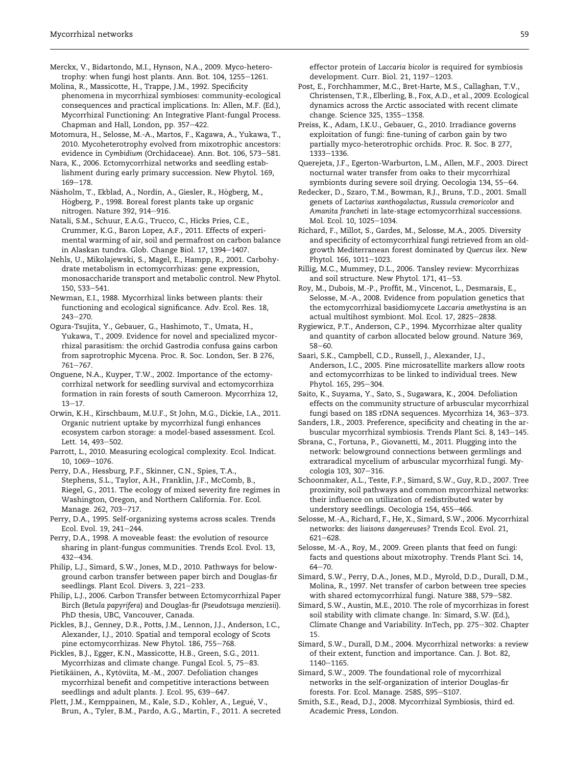- <span id="page-20-0"></span>Merckx, V., Bidartondo, M.I., Hynson, N.A., 2009. Myco-heterotrophy: when fungi host plants. Ann. Bot. 104, 1255-1261.
- Molina, R., Massicotte, H., Trappe, J.M., 1992. Specificity phenomena in mycorrhizal symbioses: community-ecological consequences and practical implications. In: Allen, M.F. (Ed.), Mycorrhizal Functioning: An Integrative Plant-fungal Process. Chapman and Hall, London, pp. 357-422.
- Motomura, H., Selosse, M.-A., Martos, F., Kagawa, A., Yukawa, T., 2010. Mycoheterotrophy evolved from mixotrophic ancestors: evidence in Cymbidium (Orchidaceae). Ann. Bot. 106, 573-581.
- Nara, K., 2006. Ectomycorrhizal networks and seedling establishment during early primary succession. New Phytol. 169,  $169 - 178.$
- Näsholm, T., Ekblad, A., Nordin, A., Giesler, R., Högberg, M., Högberg, P., 1998. Boreal forest plants take up organic nitrogen. Nature 392, 914-916.
- Natali, S.M., Schuur, E.A.G., Trucco, C., Hicks Pries, C.E., Crummer, K.G., Baron Lopez, A.F., 2011. Effects of experimental warming of air, soil and permafrost on carbon balance in Alaskan tundra. Glob. Change Biol. 17, 1394-1407.
- Nehls, U., Mikolajewski, S., Magel, E., Hampp, R., 2001. Carbohydrate metabolism in ectomycorrhizas: gene expression, monosaccharide transport and metabolic control. New Phytol. 150, 533-541.
- Newman, E.I., 1988. Mycorrhizal links between plants: their functioning and ecological significance. Adv. Ecol. Res. 18,  $243 - 270$ .
- Ogura-Tsujita, Y., Gebauer, G., Hashimoto, T., Umata, H., Yukawa, T., 2009. Evidence for novel and specialized mycorrhizal parasitism: the orchid Gastrodia confusa gains carbon from saprotrophic Mycena. Proc. R. Soc. London, Ser. B 276, 761-767.
- Onguene, N.A., Kuyper, T.W., 2002. Importance of the ectomycorrhizal network for seedling survival and ectomycorrhiza formation in rain forests of south Cameroon. Mycorrhiza 12,  $13 - 17$ .
- Orwin, K.H., Kirschbaum, M.U.F., St John, M.G., Dickie, I.A., 2011. Organic nutrient uptake by mycorrhizal fungi enhances ecosystem carbon storage: a model-based assessment. Ecol. Lett. 14, 493-502.
- Parrott, L., 2010. Measuring ecological complexity. Ecol. Indicat. 10, 1069-1076.
- Perry, D.A., Hessburg, P.F., Skinner, C.N., Spies, T.A., Stephens, S.L., Taylor, A.H., Franklin, J.F., McComb, B., Riegel, G., 2011. The ecology of mixed severity fire regimes in Washington, Oregon, and Northern California. For. Ecol. Manage. 262, 703-717.
- Perry, D.A., 1995. Self-organizing systems across scales. Trends Ecol. Evol. 19, 241-244.
- Perry, D.A., 1998. A moveable feast: the evolution of resource sharing in plant-fungus communities. Trends Ecol. Evol. 13, 432-434.
- Philip, L.J., Simard, S.W., Jones, M.D., 2010. Pathways for belowground carbon transfer between paper birch and Douglas-fir seedlings. Plant Ecol. Divers. 3, 221-233.
- Philip, L.J., 2006. Carbon Transfer between Ectomycorrhizal Paper Birch (Betula papyrifera) and Douglas-fir (Pseudotsuga menziesii). PhD thesis, UBC, Vancouver, Canada.
- Pickles, B.J., Genney, D.R., Potts, J.M., Lennon, J.J., Anderson, I.C., Alexander, I.J., 2010. Spatial and temporal ecology of Scots pine ectomycorrhizas. New Phytol. 186, 755-768.
- Pickles, B.J., Egger, K.N., Massicotte, H.B., Green, S.G., 2011. Mycorrhizas and climate change. Fungal Ecol. 5, 75-83.
- Pietikäinen, A., Kytöviita, M.-M., 2007. Defoliation changes mycorrhizal benefit and competitive interactions between seedlings and adult plants. J. Ecol. 95, 639-647.
- Plett, J.M., Kemppainen, M., Kale, S.D., Kohler, A., Legue, V., Brun, A., Tyler, B.M., Pardo, A.G., Martin, F., 2011. A secreted

effector protein of Laccaria bicolor is required for symbiosis development. Curr. Biol. 21, 1197-1203.

- Post, E., Forchhammer, M.C., Bret-Harte, M.S., Callaghan, T.V., Christensen, T.R., Elberling, B., Fox, A.D., et al., 2009. Ecological dynamics across the Arctic associated with recent climate change. Science 325, 1355-1358.
- Preiss, K., Adam, I.K.U., Gebauer, G., 2010. Irradiance governs exploitation of fungi: fine-tuning of carbon gain by two partially myco-heterotrophic orchids. Proc. R. Soc. B 277, 1333-1336.
- Querejeta, J.F., Egerton-Warburton, L.M., Allen, M.F., 2003. Direct nocturnal water transfer from oaks to their mycorrhizal symbionts during severe soil drying. Oecologia 134, 55-64.
- Redecker, D., Szaro, T.M., Bowman, R.J., Bruns, T.D., 2001. Small genets of Lactarius xanthogalactus, Russula cremoricolor and Amanita francheti in late-stage ectomycorrhizal successions. Mol. Ecol. 10, 1025-1034.
- Richard, F., Millot, S., Gardes, M., Selosse, M.A., 2005. Diversity and specificity of ectomycorrhizal fungi retrieved from an oldgrowth Mediterranean forest dominated by Quercus ilex. New Phytol. 166, 1011-1023.
- Rillig, M.C., Mummey, D.L., 2006. Tansley review: Mycorrhizas and soil structure. New Phytol. 171, 41-53.
- Roy, M., Dubois, M.-P., Proffit, M., Vincenot, L., Desmarais, E., Selosse, M.-A., 2008. Evidence from population genetics that the ectomycorrhizal basidiomycete Laccaria amethystina is an actual multihost symbiont. Mol. Ecol. 17, 2825-2838.
- Rygiewicz, P.T., Anderson, C.P., 1994. Mycorrhizae alter quality and quantity of carbon allocated below ground. Nature 369,  $58 - 60.$
- Saari, S.K., Campbell, C.D., Russell, J., Alexander, I.J., Anderson, I.C., 2005. Pine microsatellite markers allow roots and ectomycorrhizas to be linked to individual trees. New Phytol. 165, 295-304.
- Saito, K., Suyama, Y., Sato, S., Sugawara, K., 2004. Defoliation effects on the community structure of arbuscular mycorrhizal fungi based on 18S rDNA sequences. Mycorrhiza 14, 363-373.
- Sanders, I.R., 2003. Preference, specificity and cheating in the arbuscular mycorrhizal symbiosis. Trends Plant Sci. 8, 143-145.
- Sbrana, C., Fortuna, P., Giovanetti, M., 2011. Plugging into the network: belowground connections between germlings and extraradical mycelium of arbuscular mycorrhizal fungi. Mycologia 103, 307-316.
- Schoonmaker, A.L., Teste, F.P., Simard, S.W., Guy, R.D., 2007. Tree proximity, soil pathways and common mycorrhizal networks: their influence on utilization of redistributed water by understory seedlings. Oecologia 154, 455-466
- Selosse, M.-A., Richard, F., He, X., Simard, S.W., 2006. Mycorrhizal networks: des liaisons dangereuses? Trends Ecol. Evol. 21,  $621 - 628$
- Selosse, M.-A., Roy, M., 2009. Green plants that feed on fungi: facts and questions about mixotrophy. Trends Plant Sci. 14,  $64 - 70.$
- Simard, S.W., Perry, D.A., Jones, M.D., Myrold, D.D., Durall, D.M., Molina, R., 1997. Net transfer of carbon between tree species with shared ectomycorrhizal fungi. Nature 388, 579-582.
- Simard, S.W., Austin, M.E., 2010. The role of mycorrhizas in forest soil stability with climate change. In: Simard, S.W. (Ed.), Climate Change and Variability. InTech, pp. 275-302. Chapter 15.
- Simard, S.W., Durall, D.M., 2004. Mycorrhizal networks: a review of their extent, function and importance. Can. J. Bot. 82,  $1140 - 1165$ .
- Simard, S.W., 2009. The foundational role of mycorrhizal networks in the self-organization of interior Douglas-fir forests. For. Ecol. Manage. 258S, S95-S107.
- Smith, S.E., Read, D.J., 2008. Mycorrhizal Symbiosis, third ed. Academic Press, London.